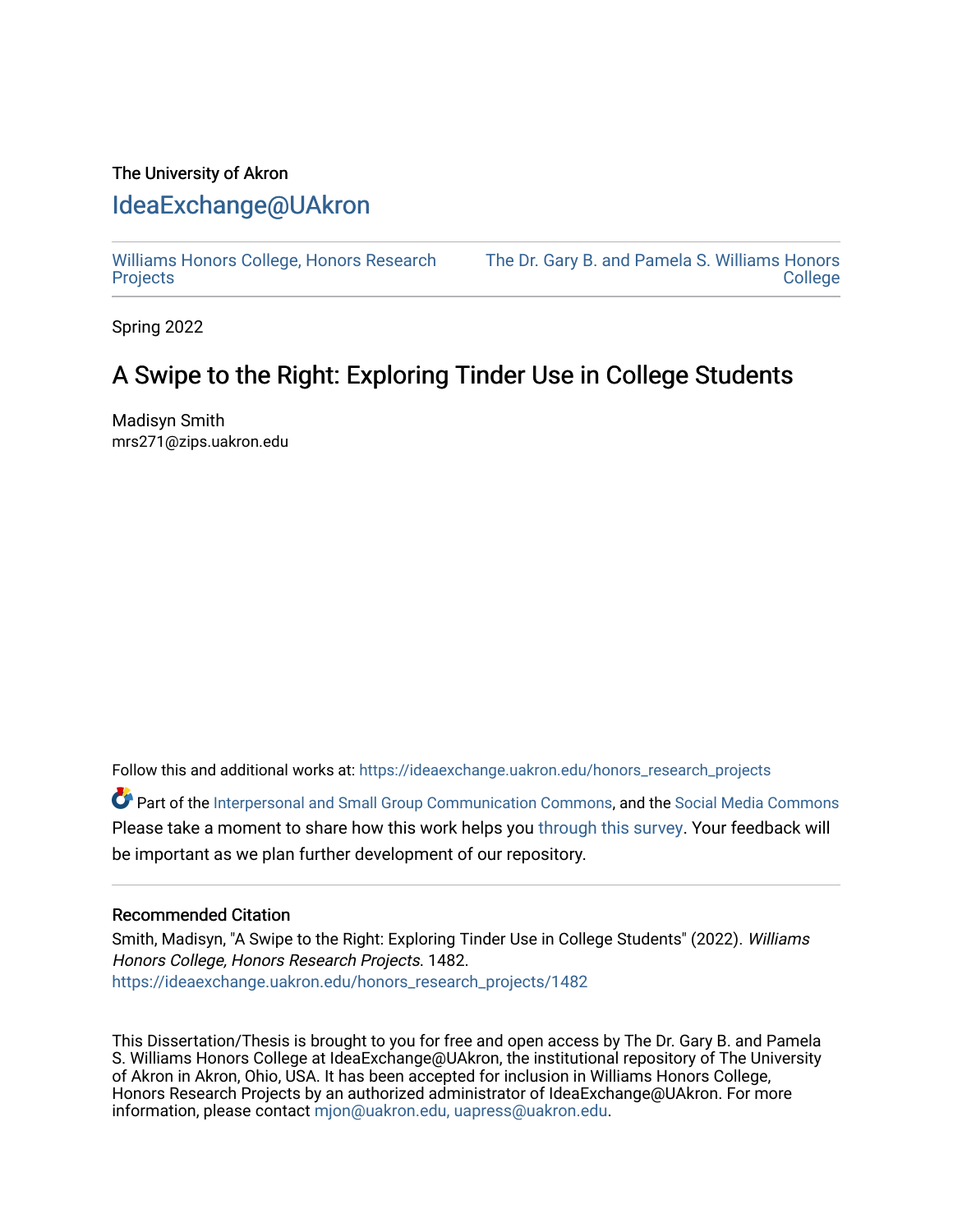# The University of Akron [IdeaExchange@UAkron](https://ideaexchange.uakron.edu/)

[Williams Honors College, Honors Research](https://ideaexchange.uakron.edu/honors_research_projects)  **[Projects](https://ideaexchange.uakron.edu/honors_research_projects)** 

[The Dr. Gary B. and Pamela S. Williams Honors](https://ideaexchange.uakron.edu/honorscollege_ideas)  **College** 

Spring 2022

# A Swipe to the Right: Exploring Tinder Use in College Students

Madisyn Smith mrs271@zips.uakron.edu

Follow this and additional works at: [https://ideaexchange.uakron.edu/honors\\_research\\_projects](https://ideaexchange.uakron.edu/honors_research_projects?utm_source=ideaexchange.uakron.edu%2Fhonors_research_projects%2F1482&utm_medium=PDF&utm_campaign=PDFCoverPages) 

Part of the [Interpersonal and Small Group Communication Commons,](http://network.bepress.com/hgg/discipline/332?utm_source=ideaexchange.uakron.edu%2Fhonors_research_projects%2F1482&utm_medium=PDF&utm_campaign=PDFCoverPages) and the [Social Media Commons](http://network.bepress.com/hgg/discipline/1249?utm_source=ideaexchange.uakron.edu%2Fhonors_research_projects%2F1482&utm_medium=PDF&utm_campaign=PDFCoverPages)  Please take a moment to share how this work helps you [through this survey](http://survey.az1.qualtrics.com/SE/?SID=SV_eEVH54oiCbOw05f&URL=https://ideaexchange.uakron.edu/honors_research_projects/1482). Your feedback will be important as we plan further development of our repository.

## Recommended Citation

Smith, Madisyn, "A Swipe to the Right: Exploring Tinder Use in College Students" (2022). Williams Honors College, Honors Research Projects. 1482. [https://ideaexchange.uakron.edu/honors\\_research\\_projects/1482](https://ideaexchange.uakron.edu/honors_research_projects/1482?utm_source=ideaexchange.uakron.edu%2Fhonors_research_projects%2F1482&utm_medium=PDF&utm_campaign=PDFCoverPages) 

This Dissertation/Thesis is brought to you for free and open access by The Dr. Gary B. and Pamela S. Williams Honors College at IdeaExchange@UAkron, the institutional repository of The University of Akron in Akron, Ohio, USA. It has been accepted for inclusion in Williams Honors College, Honors Research Projects by an authorized administrator of IdeaExchange@UAkron. For more information, please contact [mjon@uakron.edu, uapress@uakron.edu.](mailto:mjon@uakron.edu,%20uapress@uakron.edu)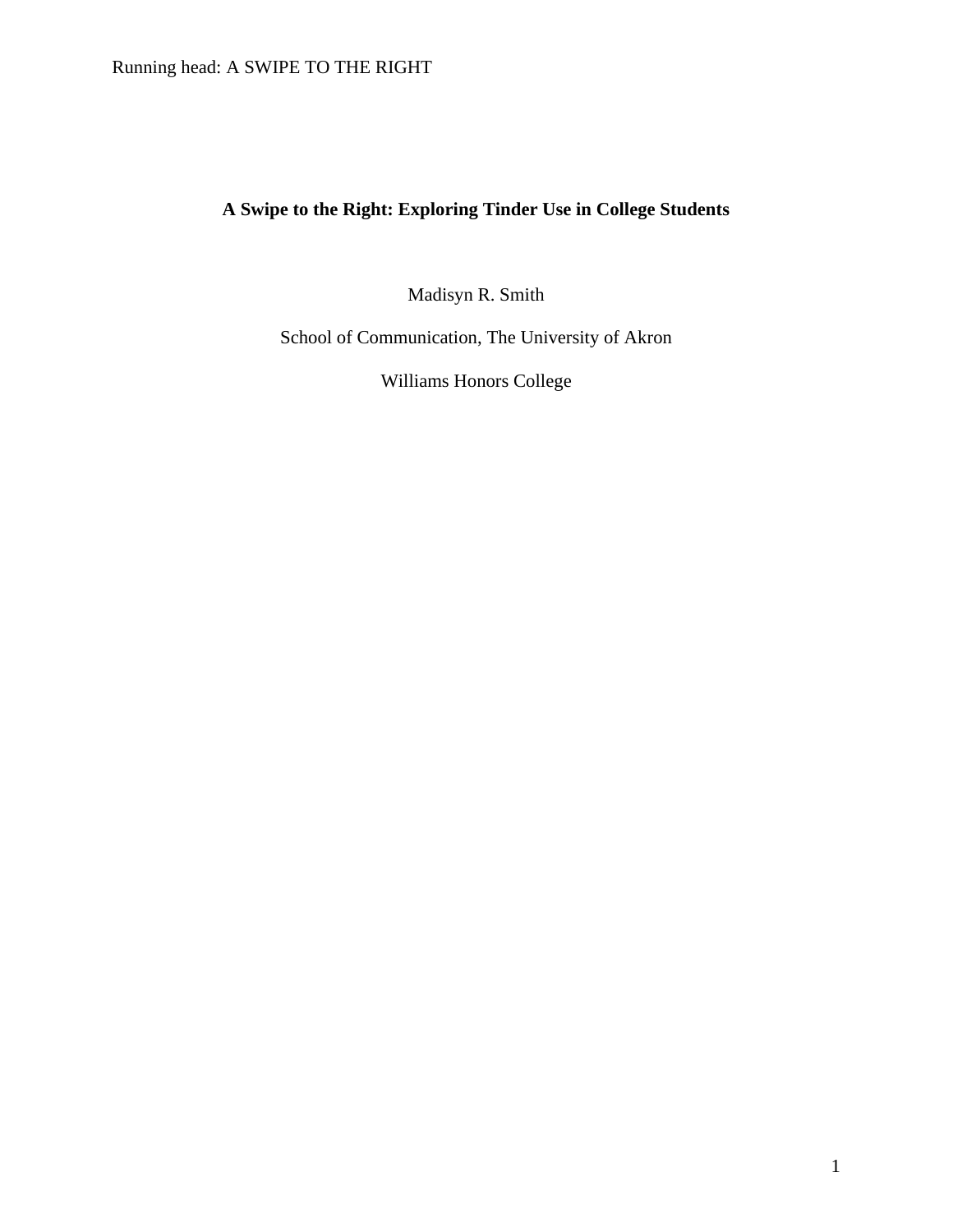# Running head: A SWIPE TO THE RIGHT

# **A Swipe to the Right: Exploring Tinder Use in College Students**

Madisyn R. Smith

School of Communication, The University of Akron

Williams Honors College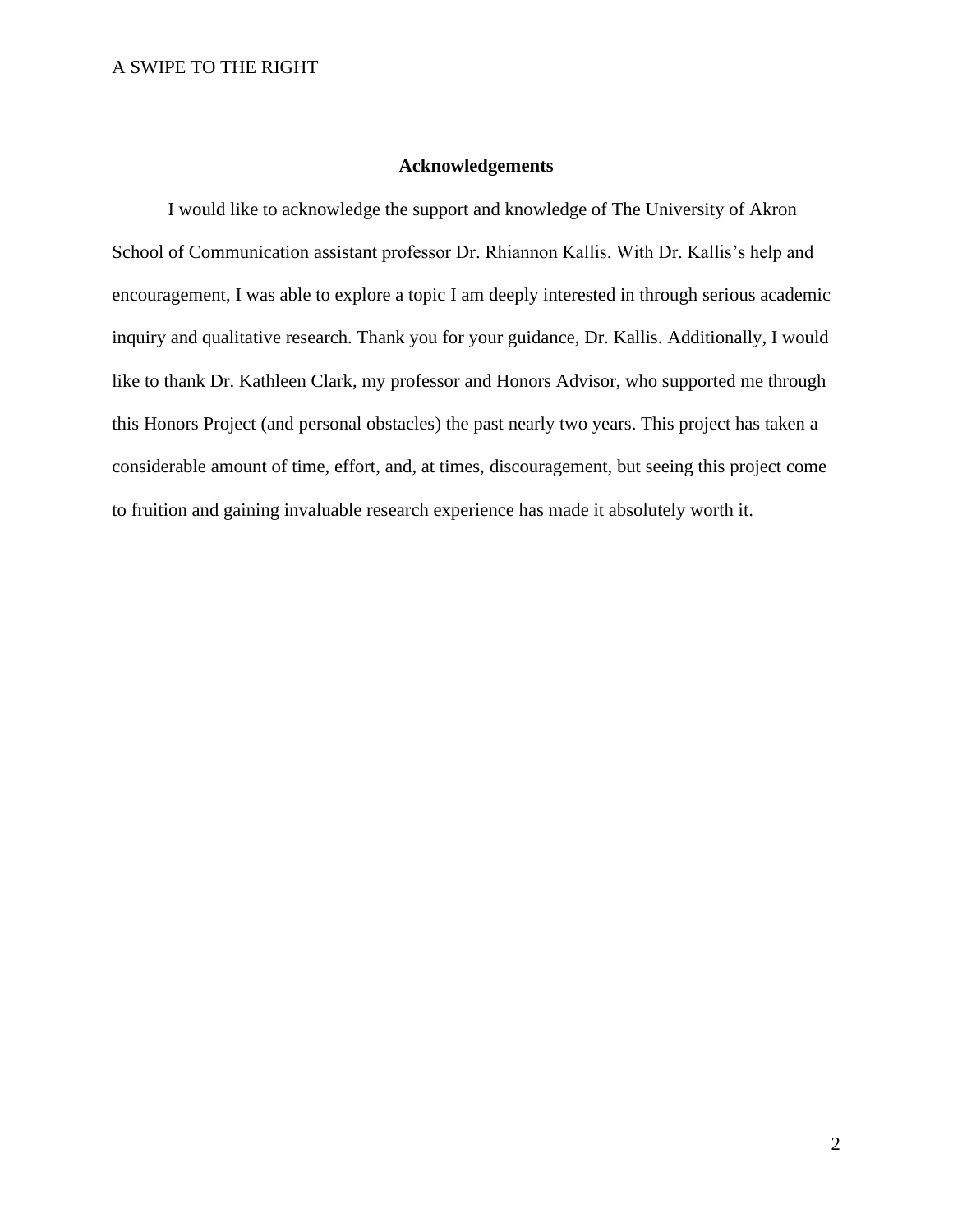# **Acknowledgements**

I would like to acknowledge the support and knowledge of The University of Akron School of Communication assistant professor Dr. Rhiannon Kallis. With Dr. Kallis's help and encouragement, I was able to explore a topic I am deeply interested in through serious academic inquiry and qualitative research. Thank you for your guidance, Dr. Kallis. Additionally, I would like to thank Dr. Kathleen Clark, my professor and Honors Advisor, who supported me through this Honors Project (and personal obstacles) the past nearly two years. This project has taken a considerable amount of time, effort, and, at times, discouragement, but seeing this project come to fruition and gaining invaluable research experience has made it absolutely worth it.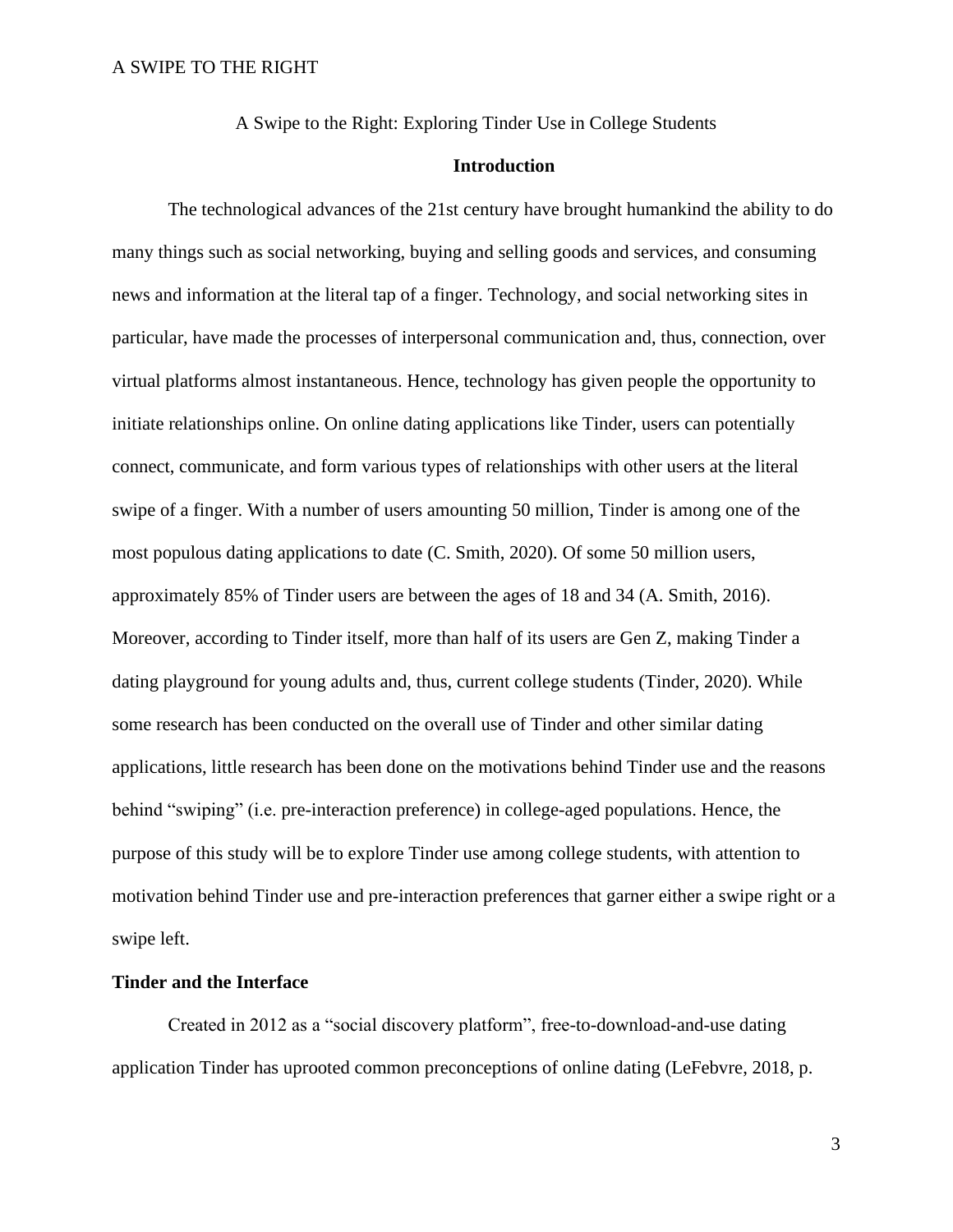A Swipe to the Right: Exploring Tinder Use in College Students

# **Introduction**

The technological advances of the 21st century have brought humankind the ability to do many things such as social networking, buying and selling goods and services, and consuming news and information at the literal tap of a finger. Technology, and social networking sites in particular, have made the processes of interpersonal communication and, thus, connection, over virtual platforms almost instantaneous. Hence, technology has given people the opportunity to initiate relationships online. On online dating applications like Tinder, users can potentially connect, communicate, and form various types of relationships with other users at the literal swipe of a finger. With a number of users amounting 50 million, Tinder is among one of the most populous dating applications to date (C. Smith, 2020). Of some 50 million users, approximately 85% of Tinder users are between the ages of 18 and 34 (A. Smith, 2016). Moreover, according to Tinder itself, more than half of its users are Gen Z, making Tinder a dating playground for young adults and, thus, current college students (Tinder, 2020). While some research has been conducted on the overall use of Tinder and other similar dating applications, little research has been done on the motivations behind Tinder use and the reasons behind "swiping" (i.e. pre-interaction preference) in college-aged populations. Hence, the purpose of this study will be to explore Tinder use among college students, with attention to motivation behind Tinder use and pre-interaction preferences that garner either a swipe right or a swipe left.

## **Tinder and the Interface**

Created in 2012 as a "social discovery platform", free-to-download-and-use dating application Tinder has uprooted common preconceptions of online dating (LeFebvre, 2018, p.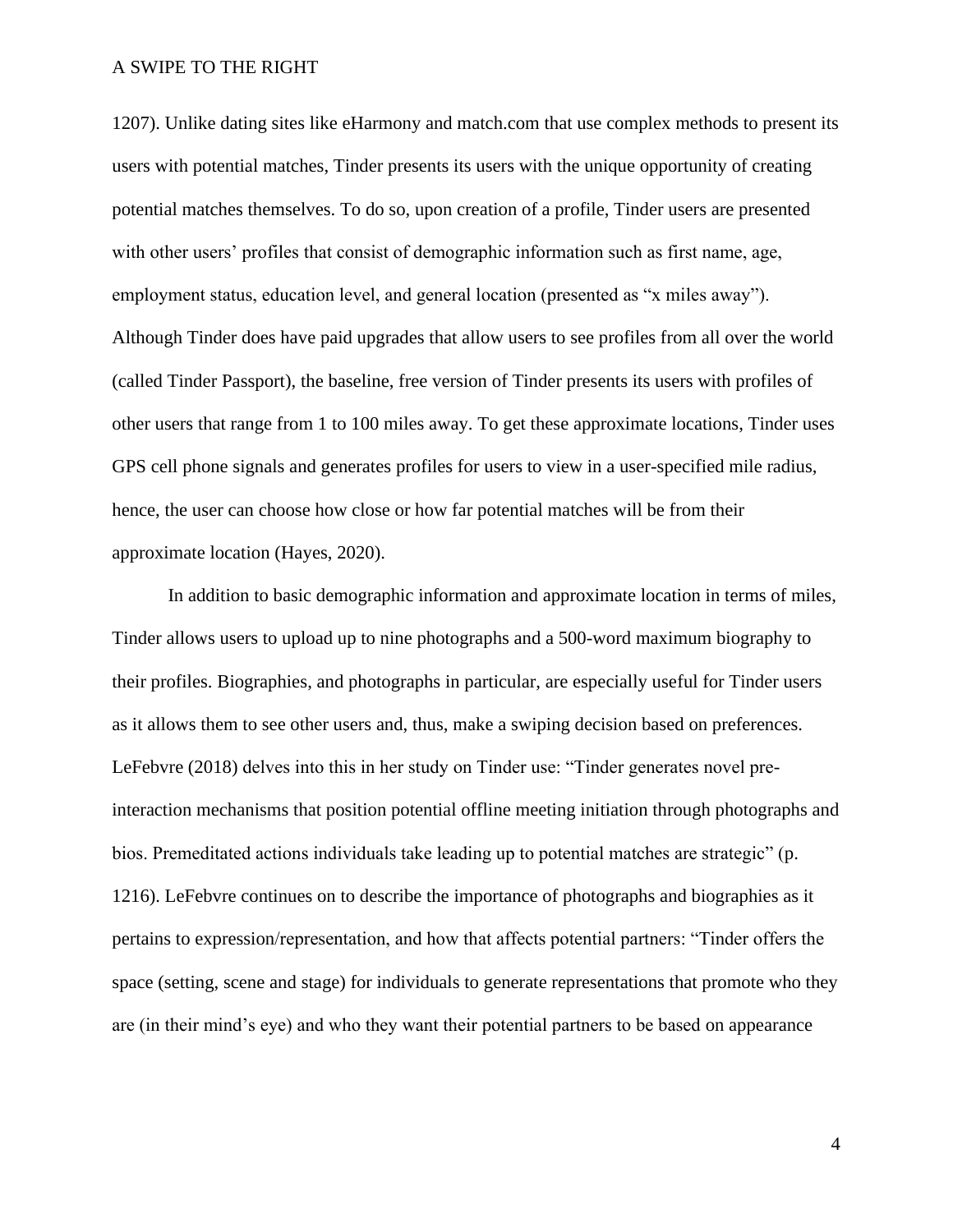1207). Unlike dating sites like eHarmony and match.com that use complex methods to present its users with potential matches, Tinder presents its users with the unique opportunity of creating potential matches themselves. To do so, upon creation of a profile, Tinder users are presented with other users' profiles that consist of demographic information such as first name, age, employment status, education level, and general location (presented as "x miles away"). Although Tinder does have paid upgrades that allow users to see profiles from all over the world (called Tinder Passport), the baseline, free version of Tinder presents its users with profiles of other users that range from 1 to 100 miles away. To get these approximate locations, Tinder uses GPS cell phone signals and generates profiles for users to view in a user-specified mile radius, hence, the user can choose how close or how far potential matches will be from their approximate location (Hayes, 2020).

In addition to basic demographic information and approximate location in terms of miles, Tinder allows users to upload up to nine photographs and a 500-word maximum biography to their profiles. Biographies, and photographs in particular, are especially useful for Tinder users as it allows them to see other users and, thus, make a swiping decision based on preferences. LeFebvre (2018) delves into this in her study on Tinder use: "Tinder generates novel preinteraction mechanisms that position potential offline meeting initiation through photographs and bios. Premeditated actions individuals take leading up to potential matches are strategic" (p. 1216). LeFebvre continues on to describe the importance of photographs and biographies as it pertains to expression/representation, and how that affects potential partners: "Tinder offers the space (setting, scene and stage) for individuals to generate representations that promote who they are (in their mind's eye) and who they want their potential partners to be based on appearance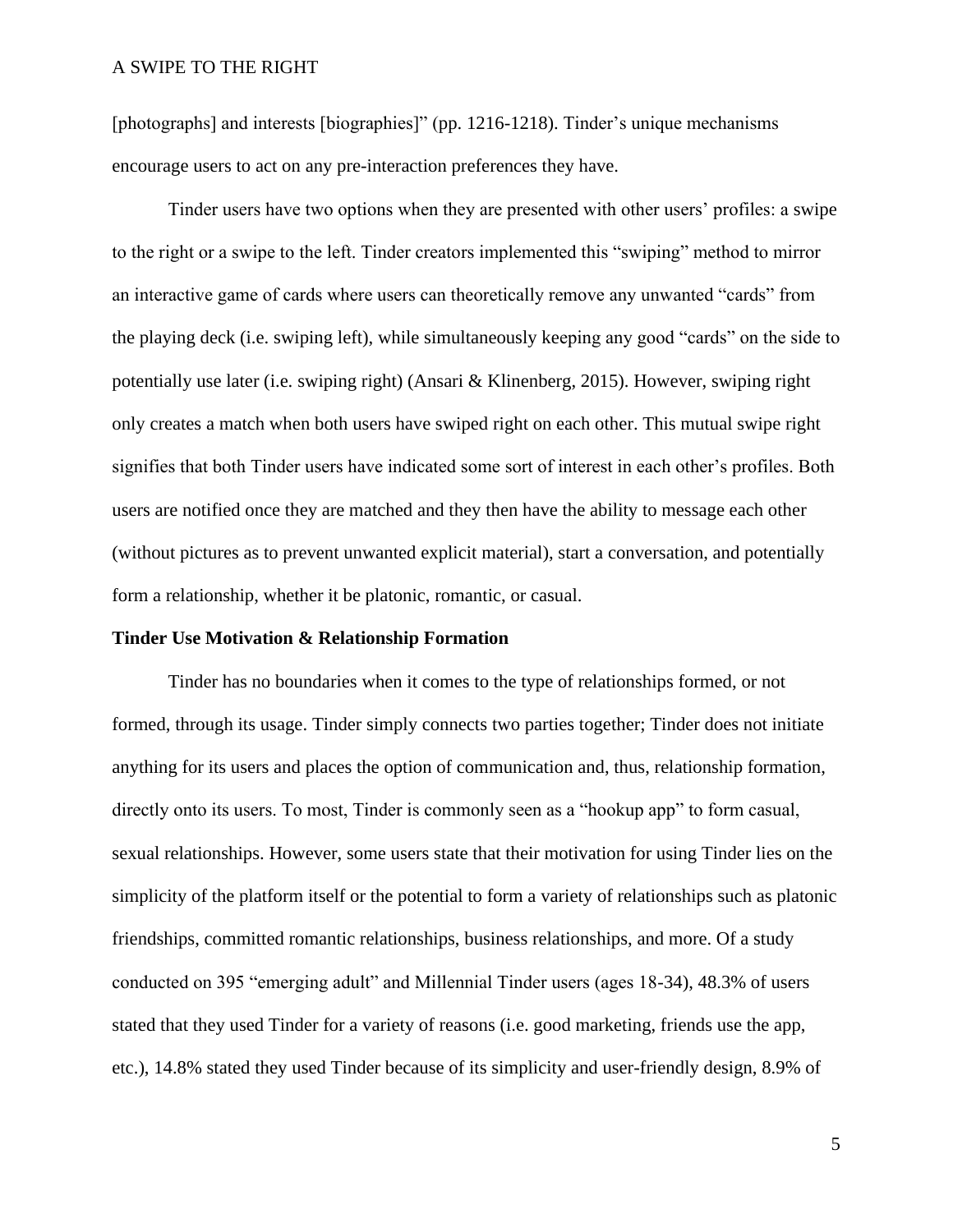[photographs] and interests [biographies]" (pp. 1216-1218). Tinder's unique mechanisms encourage users to act on any pre-interaction preferences they have.

Tinder users have two options when they are presented with other users' profiles: a swipe to the right or a swipe to the left. Tinder creators implemented this "swiping" method to mirror an interactive game of cards where users can theoretically remove any unwanted "cards" from the playing deck (i.e. swiping left), while simultaneously keeping any good "cards" on the side to potentially use later (i.e. swiping right) (Ansari & Klinenberg, 2015). However, swiping right only creates a match when both users have swiped right on each other. This mutual swipe right signifies that both Tinder users have indicated some sort of interest in each other's profiles. Both users are notified once they are matched and they then have the ability to message each other (without pictures as to prevent unwanted explicit material), start a conversation, and potentially form a relationship, whether it be platonic, romantic, or casual.

## **Tinder Use Motivation & Relationship Formation**

Tinder has no boundaries when it comes to the type of relationships formed, or not formed, through its usage. Tinder simply connects two parties together; Tinder does not initiate anything for its users and places the option of communication and, thus, relationship formation, directly onto its users. To most, Tinder is commonly seen as a "hookup app" to form casual, sexual relationships. However, some users state that their motivation for using Tinder lies on the simplicity of the platform itself or the potential to form a variety of relationships such as platonic friendships, committed romantic relationships, business relationships, and more. Of a study conducted on 395 "emerging adult" and Millennial Tinder users (ages 18-34), 48.3% of users stated that they used Tinder for a variety of reasons (i.e. good marketing, friends use the app, etc.), 14.8% stated they used Tinder because of its simplicity and user-friendly design, 8.9% of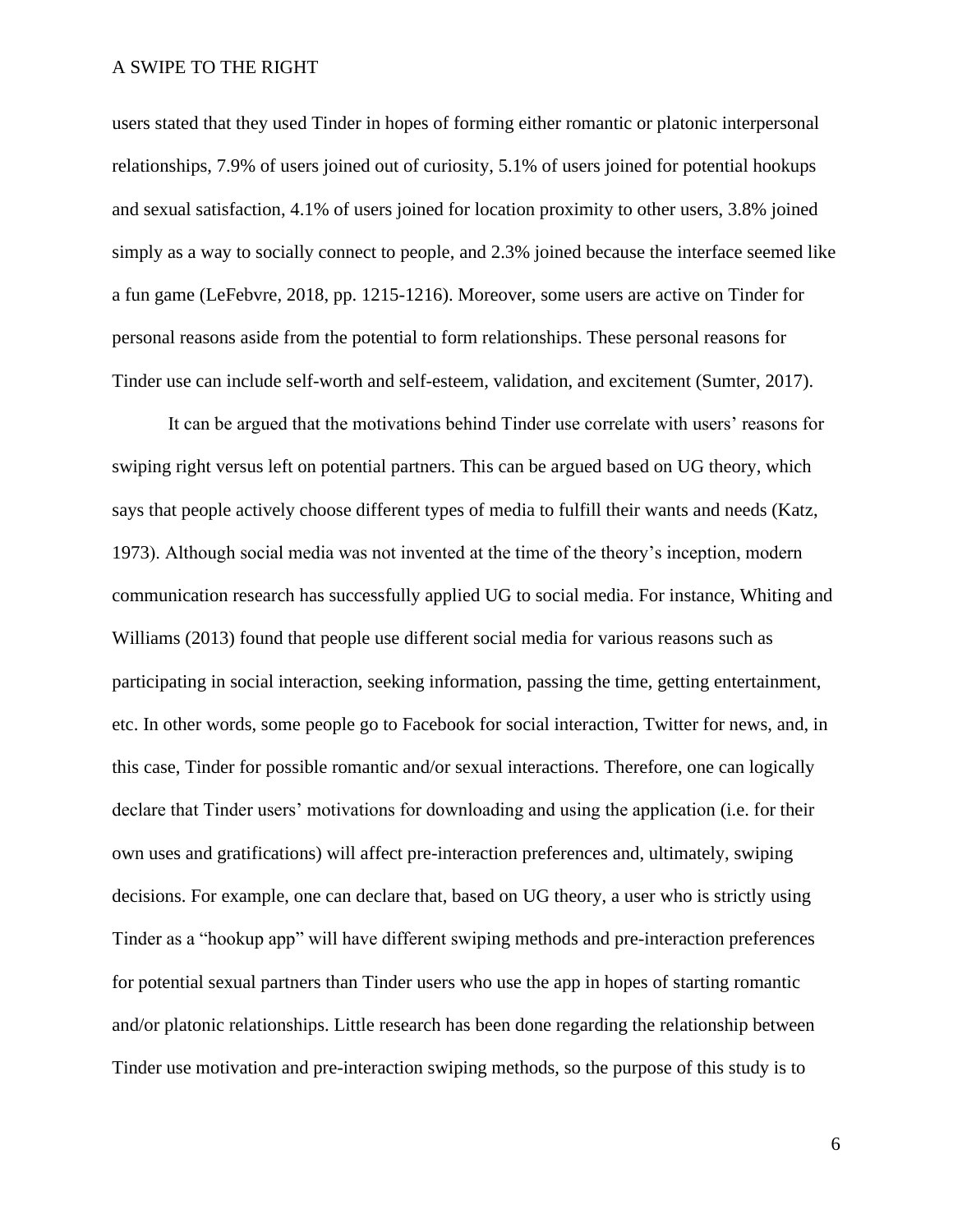users stated that they used Tinder in hopes of forming either romantic or platonic interpersonal relationships, 7.9% of users joined out of curiosity, 5.1% of users joined for potential hookups and sexual satisfaction, 4.1% of users joined for location proximity to other users, 3.8% joined simply as a way to socially connect to people, and 2.3% joined because the interface seemed like a fun game (LeFebvre, 2018, pp. 1215-1216). Moreover, some users are active on Tinder for personal reasons aside from the potential to form relationships. These personal reasons for Tinder use can include self-worth and self-esteem, validation, and excitement (Sumter, 2017).

It can be argued that the motivations behind Tinder use correlate with users' reasons for swiping right versus left on potential partners. This can be argued based on UG theory, which says that people actively choose different types of media to fulfill their wants and needs (Katz, 1973). Although social media was not invented at the time of the theory's inception, modern communication research has successfully applied UG to social media. For instance, Whiting and Williams (2013) found that people use different social media for various reasons such as participating in social interaction, seeking information, passing the time, getting entertainment, etc. In other words, some people go to Facebook for social interaction, Twitter for news, and, in this case, Tinder for possible romantic and/or sexual interactions. Therefore, one can logically declare that Tinder users' motivations for downloading and using the application (i.e. for their own uses and gratifications) will affect pre-interaction preferences and, ultimately, swiping decisions. For example, one can declare that, based on UG theory, a user who is strictly using Tinder as a "hookup app" will have different swiping methods and pre-interaction preferences for potential sexual partners than Tinder users who use the app in hopes of starting romantic and/or platonic relationships. Little research has been done regarding the relationship between Tinder use motivation and pre-interaction swiping methods, so the purpose of this study is to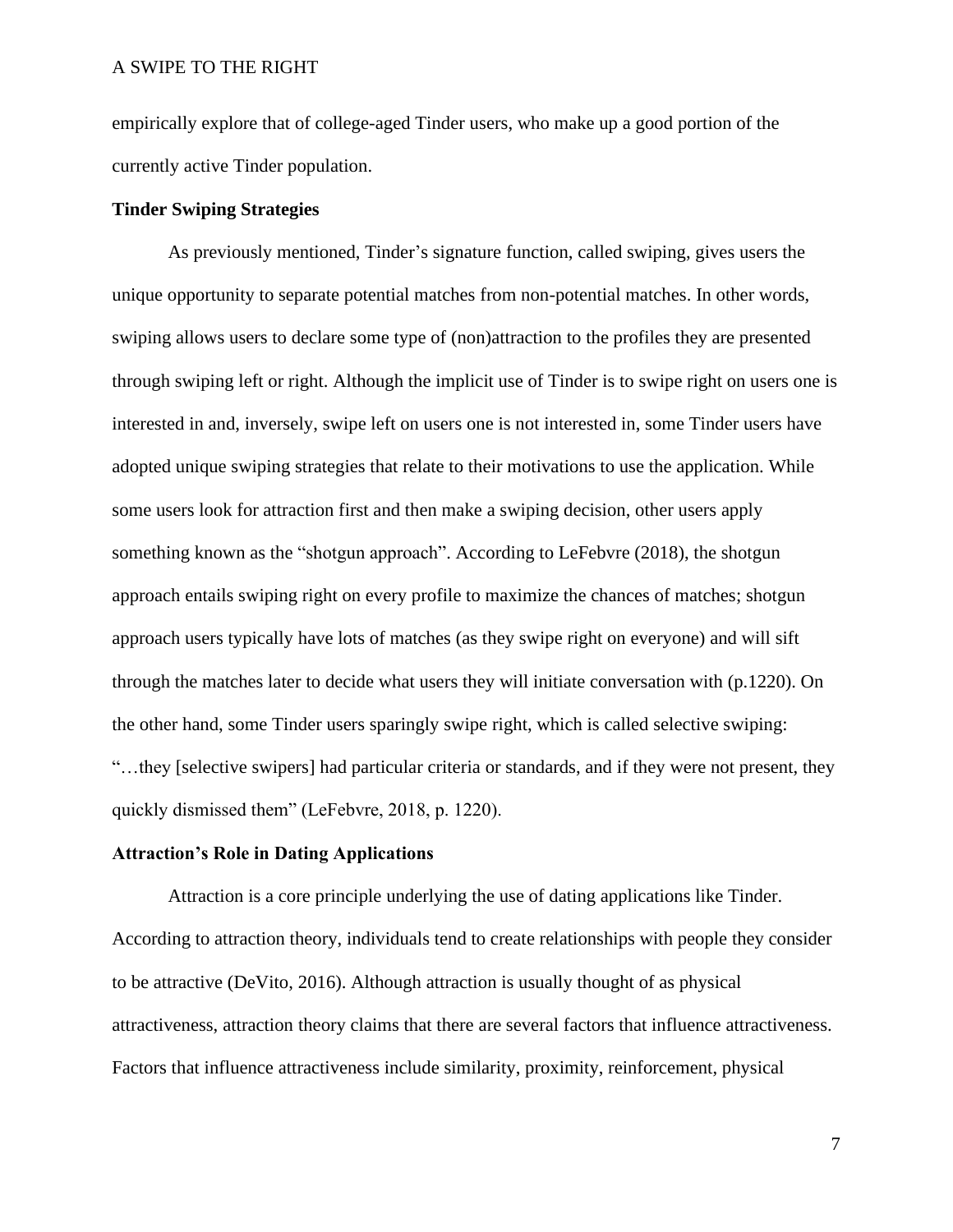empirically explore that of college-aged Tinder users, who make up a good portion of the currently active Tinder population.

# **Tinder Swiping Strategies**

As previously mentioned, Tinder's signature function, called swiping, gives users the unique opportunity to separate potential matches from non-potential matches. In other words, swiping allows users to declare some type of (non)attraction to the profiles they are presented through swiping left or right. Although the implicit use of Tinder is to swipe right on users one is interested in and, inversely, swipe left on users one is not interested in, some Tinder users have adopted unique swiping strategies that relate to their motivations to use the application. While some users look for attraction first and then make a swiping decision, other users apply something known as the "shotgun approach". According to LeFebvre (2018), the shotgun approach entails swiping right on every profile to maximize the chances of matches; shotgun approach users typically have lots of matches (as they swipe right on everyone) and will sift through the matches later to decide what users they will initiate conversation with (p.1220). On the other hand, some Tinder users sparingly swipe right, which is called selective swiping: "…they [selective swipers] had particular criteria or standards, and if they were not present, they quickly dismissed them" (LeFebvre, 2018, p. 1220).

#### **Attraction's Role in Dating Applications**

Attraction is a core principle underlying the use of dating applications like Tinder. According to attraction theory, individuals tend to create relationships with people they consider to be attractive (DeVito, 2016). Although attraction is usually thought of as physical attractiveness, attraction theory claims that there are several factors that influence attractiveness. Factors that influence attractiveness include similarity, proximity, reinforcement, physical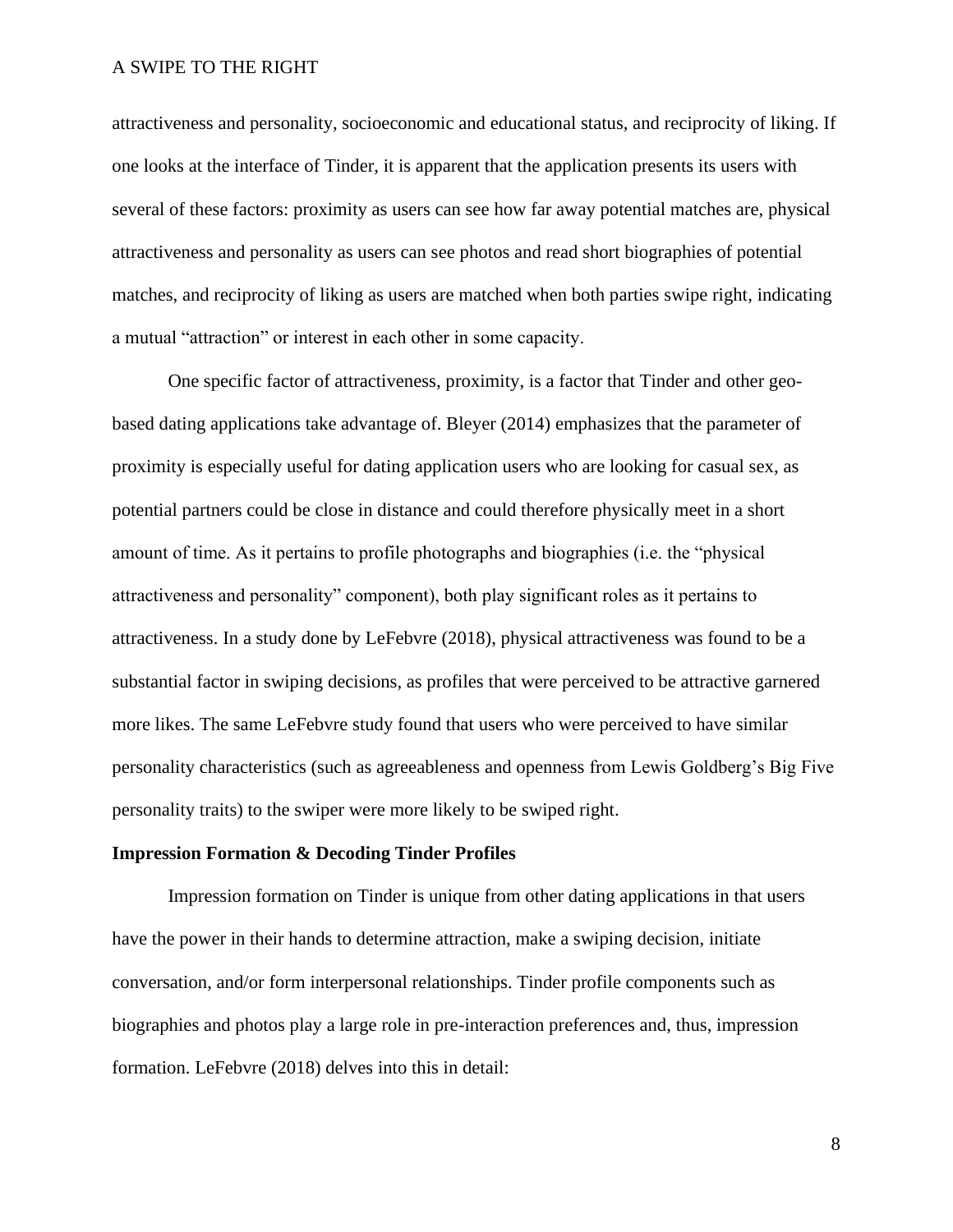attractiveness and personality, socioeconomic and educational status, and reciprocity of liking. If one looks at the interface of Tinder, it is apparent that the application presents its users with several of these factors: proximity as users can see how far away potential matches are, physical attractiveness and personality as users can see photos and read short biographies of potential matches, and reciprocity of liking as users are matched when both parties swipe right, indicating a mutual "attraction" or interest in each other in some capacity.

One specific factor of attractiveness, proximity, is a factor that Tinder and other geobased dating applications take advantage of. Bleyer (2014) emphasizes that the parameter of proximity is especially useful for dating application users who are looking for casual sex, as potential partners could be close in distance and could therefore physically meet in a short amount of time. As it pertains to profile photographs and biographies (i.e. the "physical attractiveness and personality" component), both play significant roles as it pertains to attractiveness. In a study done by LeFebvre (2018), physical attractiveness was found to be a substantial factor in swiping decisions, as profiles that were perceived to be attractive garnered more likes. The same LeFebvre study found that users who were perceived to have similar personality characteristics (such as agreeableness and openness from Lewis Goldberg's Big Five personality traits) to the swiper were more likely to be swiped right.

## **Impression Formation & Decoding Tinder Profiles**

Impression formation on Tinder is unique from other dating applications in that users have the power in their hands to determine attraction, make a swiping decision, initiate conversation, and/or form interpersonal relationships. Tinder profile components such as biographies and photos play a large role in pre-interaction preferences and, thus, impression formation. LeFebvre (2018) delves into this in detail: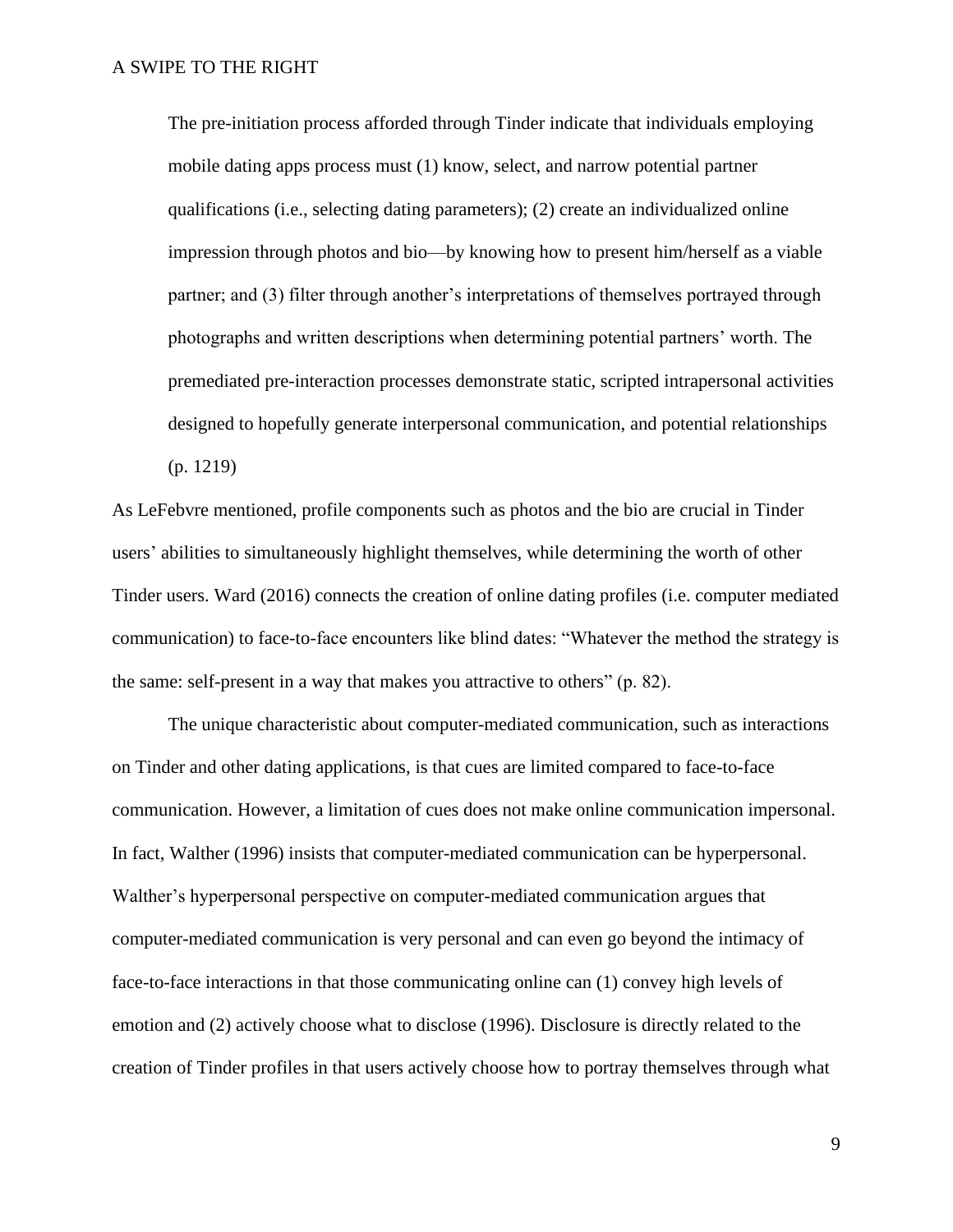The pre-initiation process afforded through Tinder indicate that individuals employing mobile dating apps process must (1) know, select, and narrow potential partner qualifications (i.e., selecting dating parameters); (2) create an individualized online impression through photos and bio—by knowing how to present him/herself as a viable partner; and (3) filter through another's interpretations of themselves portrayed through photographs and written descriptions when determining potential partners' worth. The premediated pre-interaction processes demonstrate static, scripted intrapersonal activities designed to hopefully generate interpersonal communication, and potential relationships (p. 1219)

As LeFebvre mentioned, profile components such as photos and the bio are crucial in Tinder users' abilities to simultaneously highlight themselves, while determining the worth of other Tinder users. Ward (2016) connects the creation of online dating profiles (i.e. computer mediated communication) to face-to-face encounters like blind dates: "Whatever the method the strategy is the same: self-present in a way that makes you attractive to others" (p. 82).

The unique characteristic about computer-mediated communication, such as interactions on Tinder and other dating applications, is that cues are limited compared to face-to-face communication. However, a limitation of cues does not make online communication impersonal. In fact, Walther (1996) insists that computer-mediated communication can be hyperpersonal. Walther's hyperpersonal perspective on computer-mediated communication argues that computer-mediated communication is very personal and can even go beyond the intimacy of face-to-face interactions in that those communicating online can (1) convey high levels of emotion and (2) actively choose what to disclose (1996). Disclosure is directly related to the creation of Tinder profiles in that users actively choose how to portray themselves through what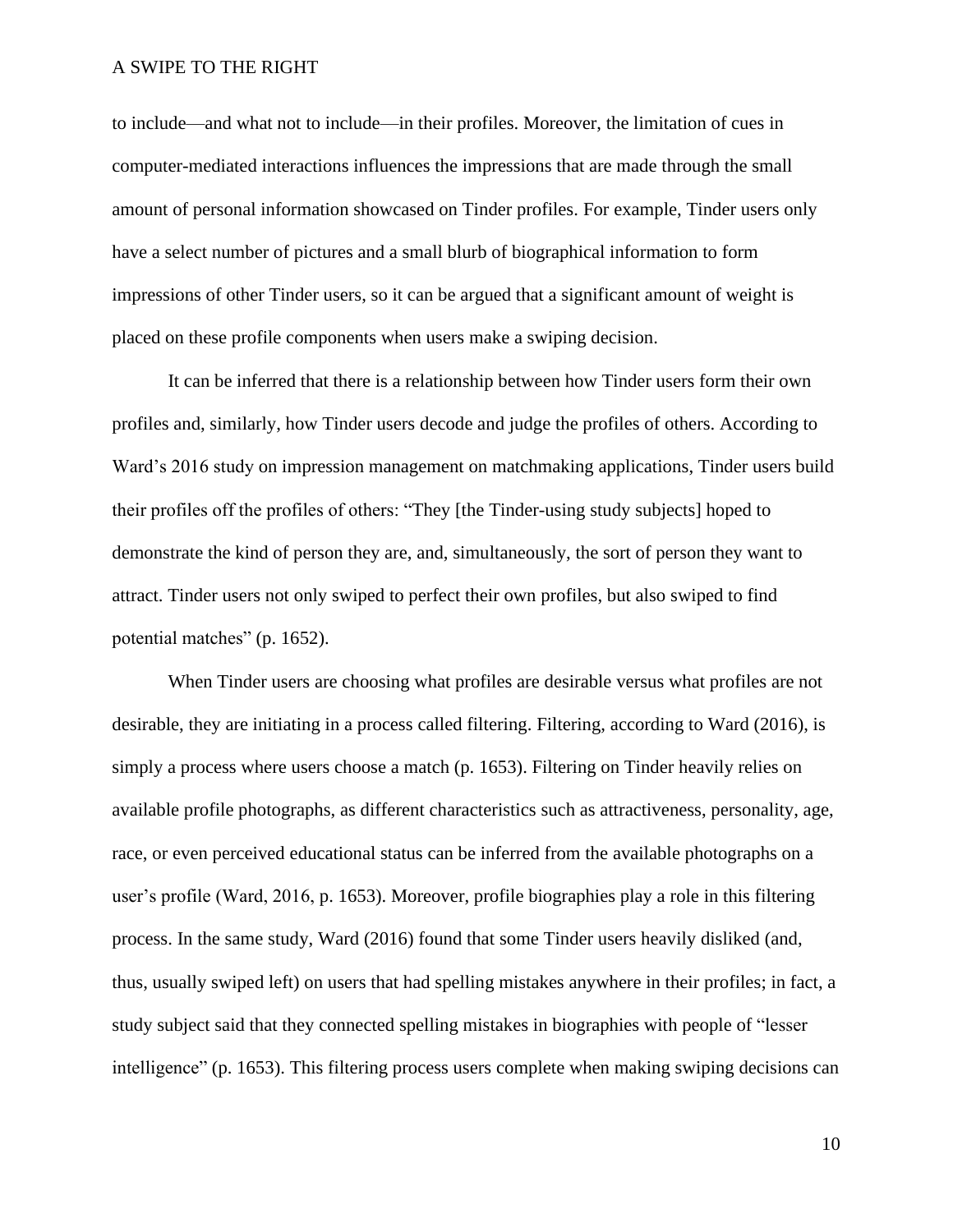to include—and what not to include—in their profiles. Moreover, the limitation of cues in computer-mediated interactions influences the impressions that are made through the small amount of personal information showcased on Tinder profiles. For example, Tinder users only have a select number of pictures and a small blurb of biographical information to form impressions of other Tinder users, so it can be argued that a significant amount of weight is placed on these profile components when users make a swiping decision.

It can be inferred that there is a relationship between how Tinder users form their own profiles and, similarly, how Tinder users decode and judge the profiles of others. According to Ward's 2016 study on impression management on matchmaking applications, Tinder users build their profiles off the profiles of others: "They [the Tinder-using study subjects] hoped to demonstrate the kind of person they are, and, simultaneously, the sort of person they want to attract. Tinder users not only swiped to perfect their own profiles, but also swiped to find potential matches" (p. 1652).

When Tinder users are choosing what profiles are desirable versus what profiles are not desirable, they are initiating in a process called filtering. Filtering, according to Ward (2016), is simply a process where users choose a match (p. 1653). Filtering on Tinder heavily relies on available profile photographs, as different characteristics such as attractiveness, personality, age, race, or even perceived educational status can be inferred from the available photographs on a user's profile (Ward, 2016, p. 1653). Moreover, profile biographies play a role in this filtering process. In the same study, Ward (2016) found that some Tinder users heavily disliked (and, thus, usually swiped left) on users that had spelling mistakes anywhere in their profiles; in fact, a study subject said that they connected spelling mistakes in biographies with people of "lesser intelligence" (p. 1653). This filtering process users complete when making swiping decisions can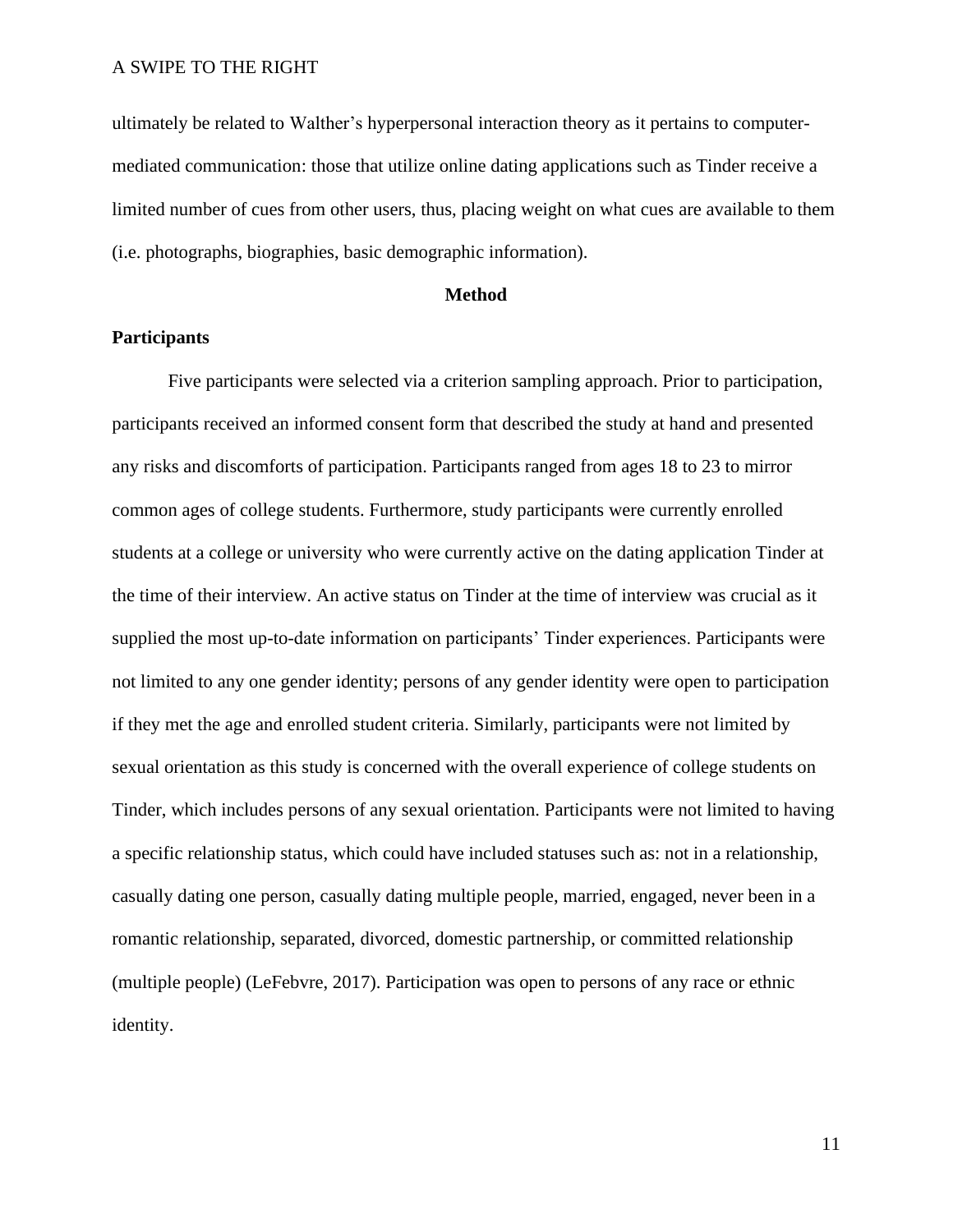ultimately be related to Walther's hyperpersonal interaction theory as it pertains to computermediated communication: those that utilize online dating applications such as Tinder receive a limited number of cues from other users, thus, placing weight on what cues are available to them (i.e. photographs, biographies, basic demographic information).

#### **Method**

## **Participants**

Five participants were selected via a criterion sampling approach. Prior to participation, participants received an informed consent form that described the study at hand and presented any risks and discomforts of participation. Participants ranged from ages 18 to 23 to mirror common ages of college students. Furthermore, study participants were currently enrolled students at a college or university who were currently active on the dating application Tinder at the time of their interview. An active status on Tinder at the time of interview was crucial as it supplied the most up-to-date information on participants' Tinder experiences. Participants were not limited to any one gender identity; persons of any gender identity were open to participation if they met the age and enrolled student criteria. Similarly, participants were not limited by sexual orientation as this study is concerned with the overall experience of college students on Tinder, which includes persons of any sexual orientation. Participants were not limited to having a specific relationship status, which could have included statuses such as: not in a relationship, casually dating one person, casually dating multiple people, married, engaged, never been in a romantic relationship, separated, divorced, domestic partnership, or committed relationship (multiple people) (LeFebvre, 2017). Participation was open to persons of any race or ethnic identity.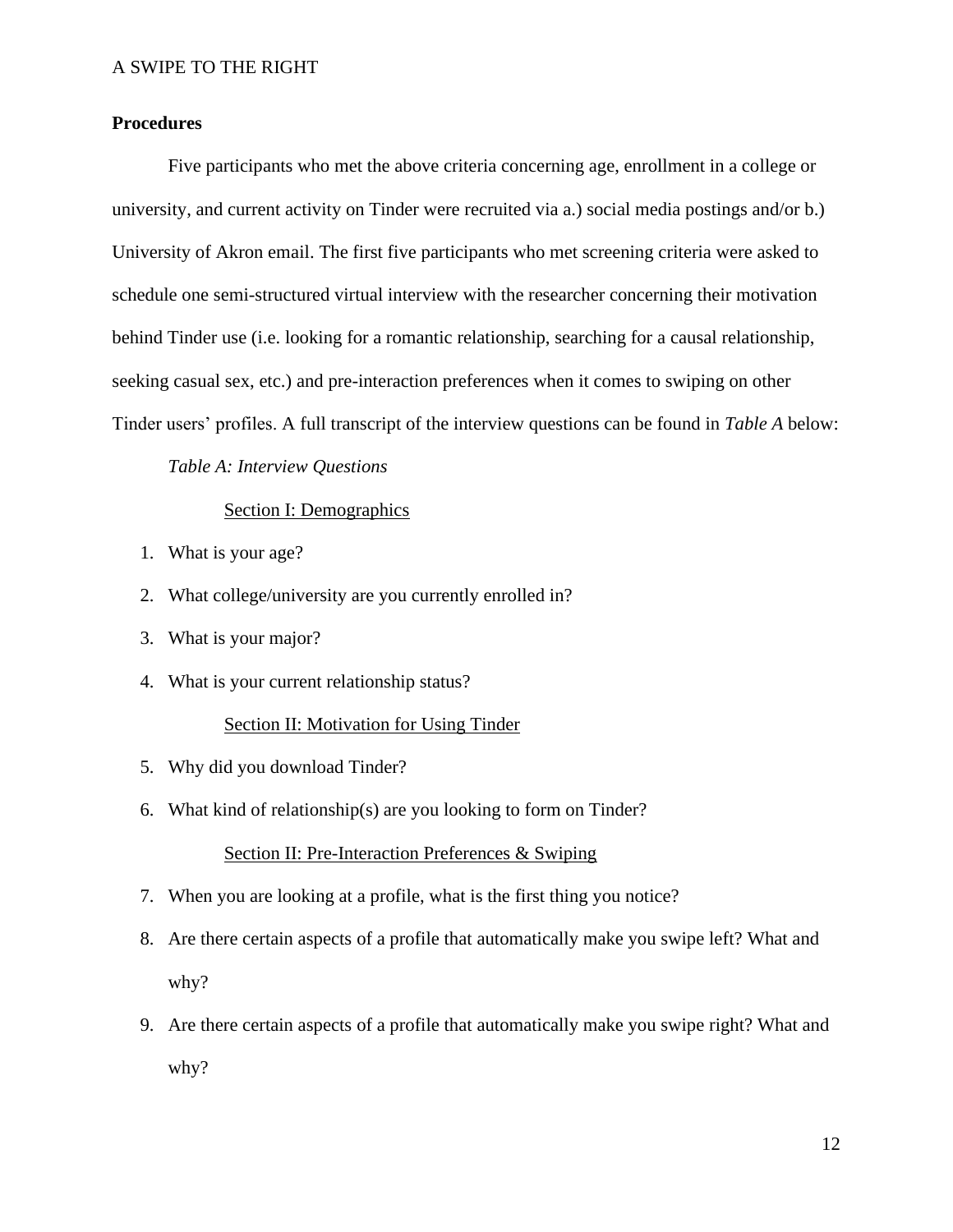# **Procedures**

Five participants who met the above criteria concerning age, enrollment in a college or university, and current activity on Tinder were recruited via a.) social media postings and/or b.) University of Akron email. The first five participants who met screening criteria were asked to schedule one semi-structured virtual interview with the researcher concerning their motivation behind Tinder use (i.e. looking for a romantic relationship, searching for a causal relationship, seeking casual sex, etc.) and pre-interaction preferences when it comes to swiping on other Tinder users' profiles. A full transcript of the interview questions can be found in *Table A* below:

*Table A: Interview Questions*

## Section I: Demographics

- 1. What is your age?
- 2. What college/university are you currently enrolled in?
- 3. What is your major?
- 4. What is your current relationship status?

#### Section II: Motivation for Using Tinder

- 5. Why did you download Tinder?
- 6. What kind of relationship(s) are you looking to form on Tinder?

## Section II: Pre-Interaction Preferences & Swiping

- 7. When you are looking at a profile, what is the first thing you notice?
- 8. Are there certain aspects of a profile that automatically make you swipe left? What and why?
- 9. Are there certain aspects of a profile that automatically make you swipe right? What and why?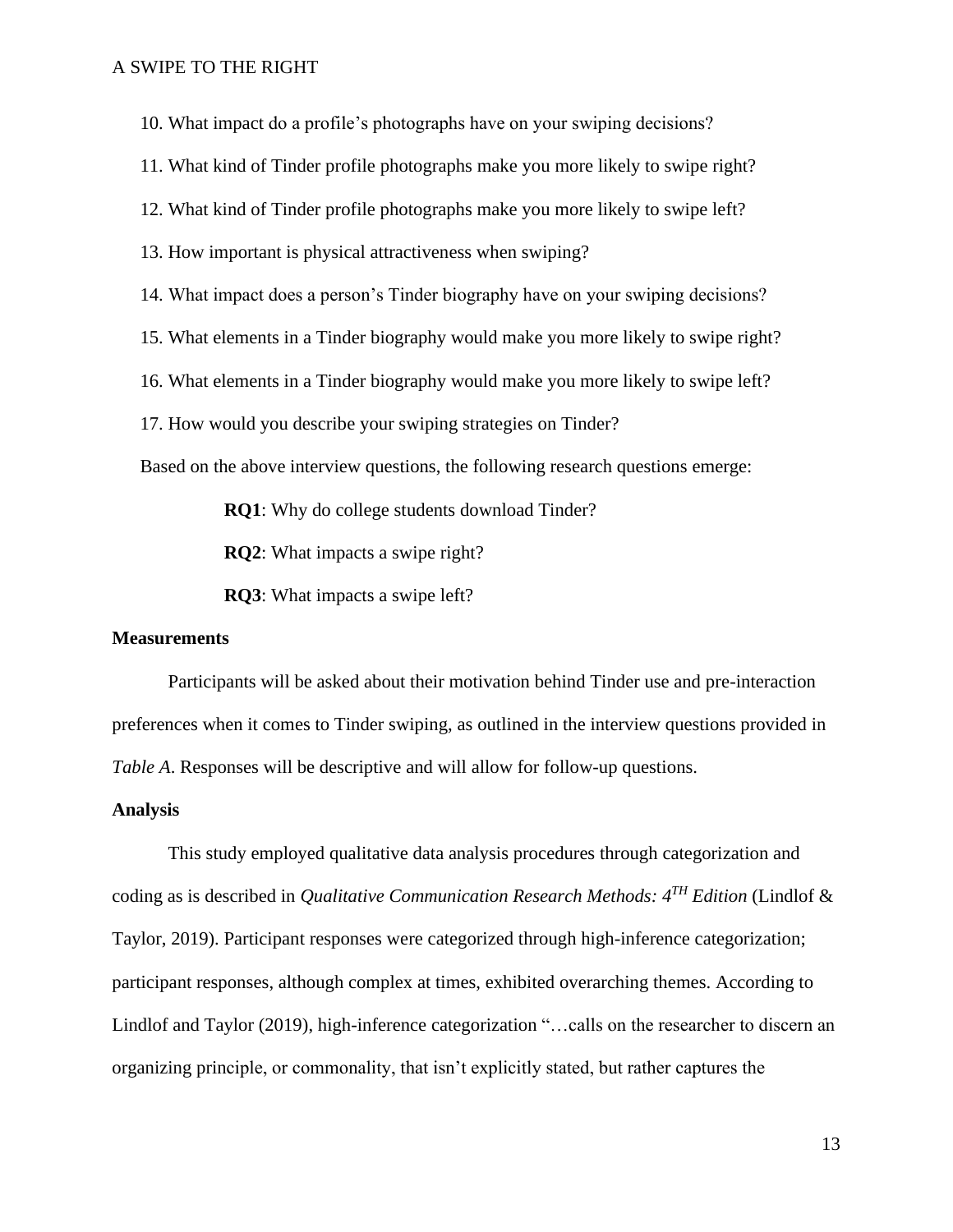10. What impact do a profile's photographs have on your swiping decisions?

11. What kind of Tinder profile photographs make you more likely to swipe right?

12. What kind of Tinder profile photographs make you more likely to swipe left?

13. How important is physical attractiveness when swiping?

14. What impact does a person's Tinder biography have on your swiping decisions?

15. What elements in a Tinder biography would make you more likely to swipe right?

16. What elements in a Tinder biography would make you more likely to swipe left?

17. How would you describe your swiping strategies on Tinder?

Based on the above interview questions, the following research questions emerge:

**RQ1**: Why do college students download Tinder?

**RQ2**: What impacts a swipe right?

**RQ3**: What impacts a swipe left?

#### **Measurements**

Participants will be asked about their motivation behind Tinder use and pre-interaction preferences when it comes to Tinder swiping, as outlined in the interview questions provided in *Table A*. Responses will be descriptive and will allow for follow-up questions.

#### **Analysis**

This study employed qualitative data analysis procedures through categorization and coding as is described in *Qualitative Communication Research Methods: 4TH Edition* (Lindlof & Taylor, 2019). Participant responses were categorized through high-inference categorization; participant responses, although complex at times, exhibited overarching themes. According to Lindlof and Taylor (2019), high-inference categorization "…calls on the researcher to discern an organizing principle, or commonality, that isn't explicitly stated, but rather captures the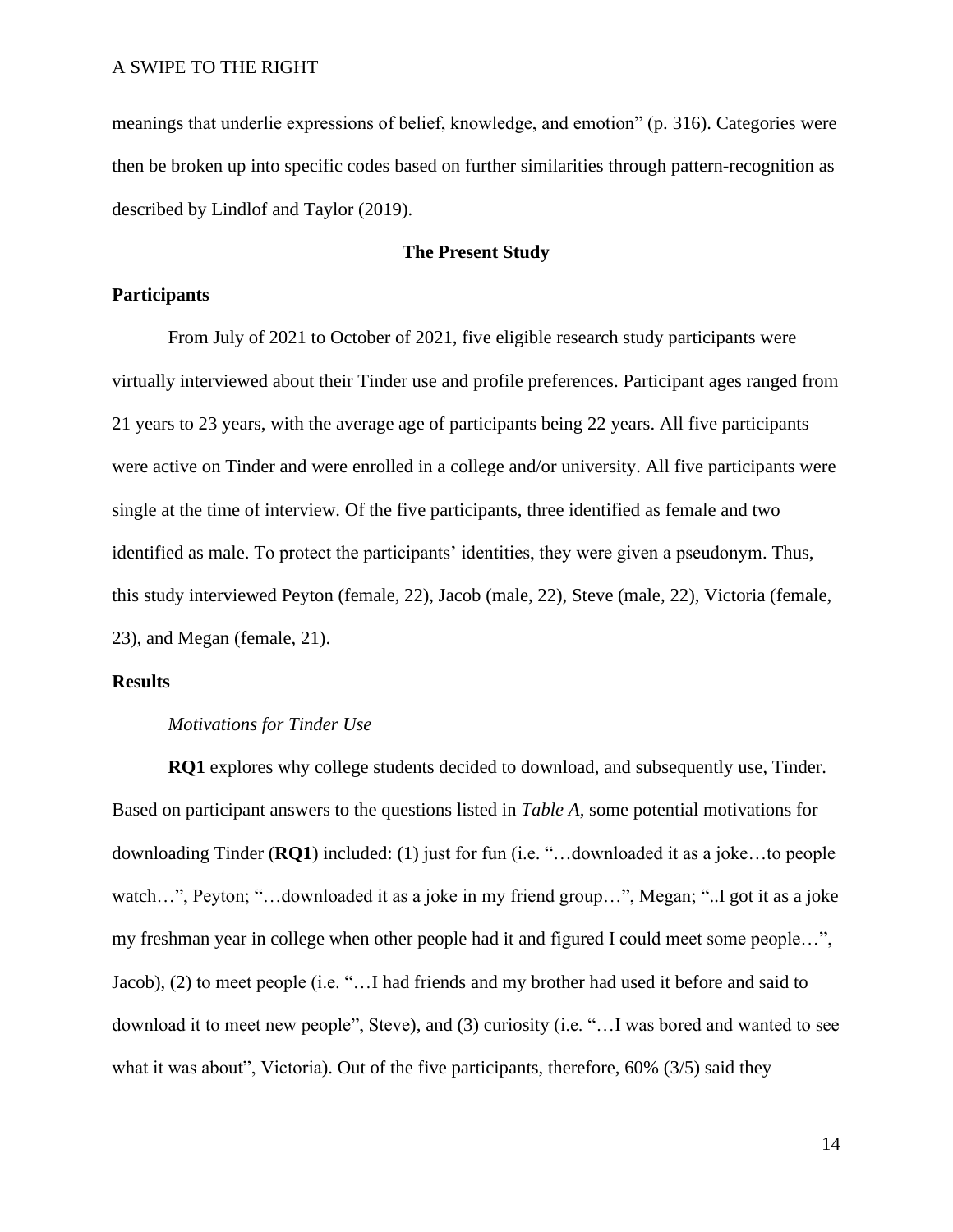meanings that underlie expressions of belief, knowledge, and emotion" (p. 316). Categories were then be broken up into specific codes based on further similarities through pattern-recognition as described by Lindlof and Taylor (2019).

# **The Present Study**

## **Participants**

From July of 2021 to October of 2021, five eligible research study participants were virtually interviewed about their Tinder use and profile preferences. Participant ages ranged from 21 years to 23 years, with the average age of participants being 22 years. All five participants were active on Tinder and were enrolled in a college and/or university. All five participants were single at the time of interview. Of the five participants, three identified as female and two identified as male. To protect the participants' identities, they were given a pseudonym. Thus, this study interviewed Peyton (female, 22), Jacob (male, 22), Steve (male, 22), Victoria (female, 23), and Megan (female, 21).

## **Results**

### *Motivations for Tinder Use*

**RQ1** explores why college students decided to download, and subsequently use, Tinder. Based on participant answers to the questions listed in *Table A,* some potential motivations for downloading Tinder (**RQ1**) included: (1) just for fun (i.e. "…downloaded it as a joke…to people watch…", Peyton; "…downloaded it as a joke in my friend group…", Megan; "..I got it as a joke my freshman year in college when other people had it and figured I could meet some people…", Jacob), (2) to meet people (i.e. "…I had friends and my brother had used it before and said to download it to meet new people", Steve), and (3) curiosity (i.e. "…I was bored and wanted to see what it was about", Victoria). Out of the five participants, therefore, 60% (3/5) said they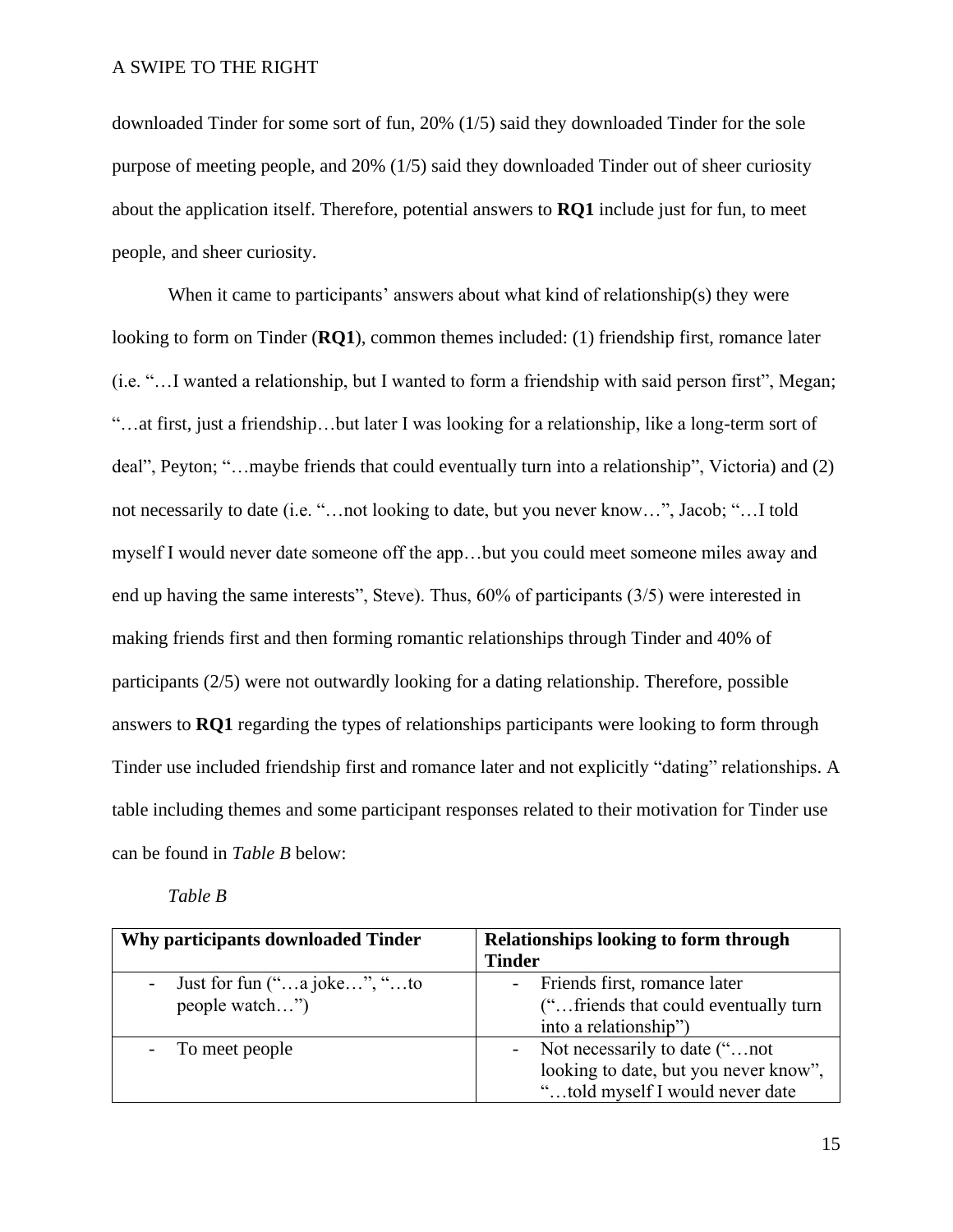downloaded Tinder for some sort of fun, 20% (1/5) said they downloaded Tinder for the sole purpose of meeting people, and 20% (1/5) said they downloaded Tinder out of sheer curiosity about the application itself. Therefore, potential answers to **RQ1** include just for fun, to meet people, and sheer curiosity.

When it came to participants' answers about what kind of relationship(s) they were looking to form on Tinder (**RQ1**), common themes included: (1) friendship first, romance later (i.e. "…I wanted a relationship, but I wanted to form a friendship with said person first", Megan; "…at first, just a friendship…but later I was looking for a relationship, like a long-term sort of deal", Peyton; "…maybe friends that could eventually turn into a relationship", Victoria) and (2) not necessarily to date (i.e. "…not looking to date, but you never know…", Jacob; "…I told myself I would never date someone off the app…but you could meet someone miles away and end up having the same interests", Steve). Thus, 60% of participants (3/5) were interested in making friends first and then forming romantic relationships through Tinder and 40% of participants (2/5) were not outwardly looking for a dating relationship. Therefore, possible answers to **RQ1** regarding the types of relationships participants were looking to form through Tinder use included friendship first and romance later and not explicitly "dating" relationships. A table including themes and some participant responses related to their motivation for Tinder use can be found in *Table B* below:

| I abte | D |
|--------|---|
|--------|---|

| Why participants downloaded Tinder                                                                        | Relationships looking to form through                     |
|-----------------------------------------------------------------------------------------------------------|-----------------------------------------------------------|
|                                                                                                           | <b>Tinder</b>                                             |
| Just for fun $(\cdot \cdot \cdot \cdot \cdot a \cdot j$ a joke", $\cdot \cdot \cdot \cdot \cdot \cdot$ to | Friends first, romance later<br>$\sim$                    |
| people watch"                                                                                             | ("friends that could eventually turn                      |
|                                                                                                           | into a relationship")                                     |
| - To meet people                                                                                          | Not necessarily to date ("not<br>$\overline{\phantom{a}}$ |
|                                                                                                           | looking to date, but you never know",                     |
|                                                                                                           | "told myself I would never date                           |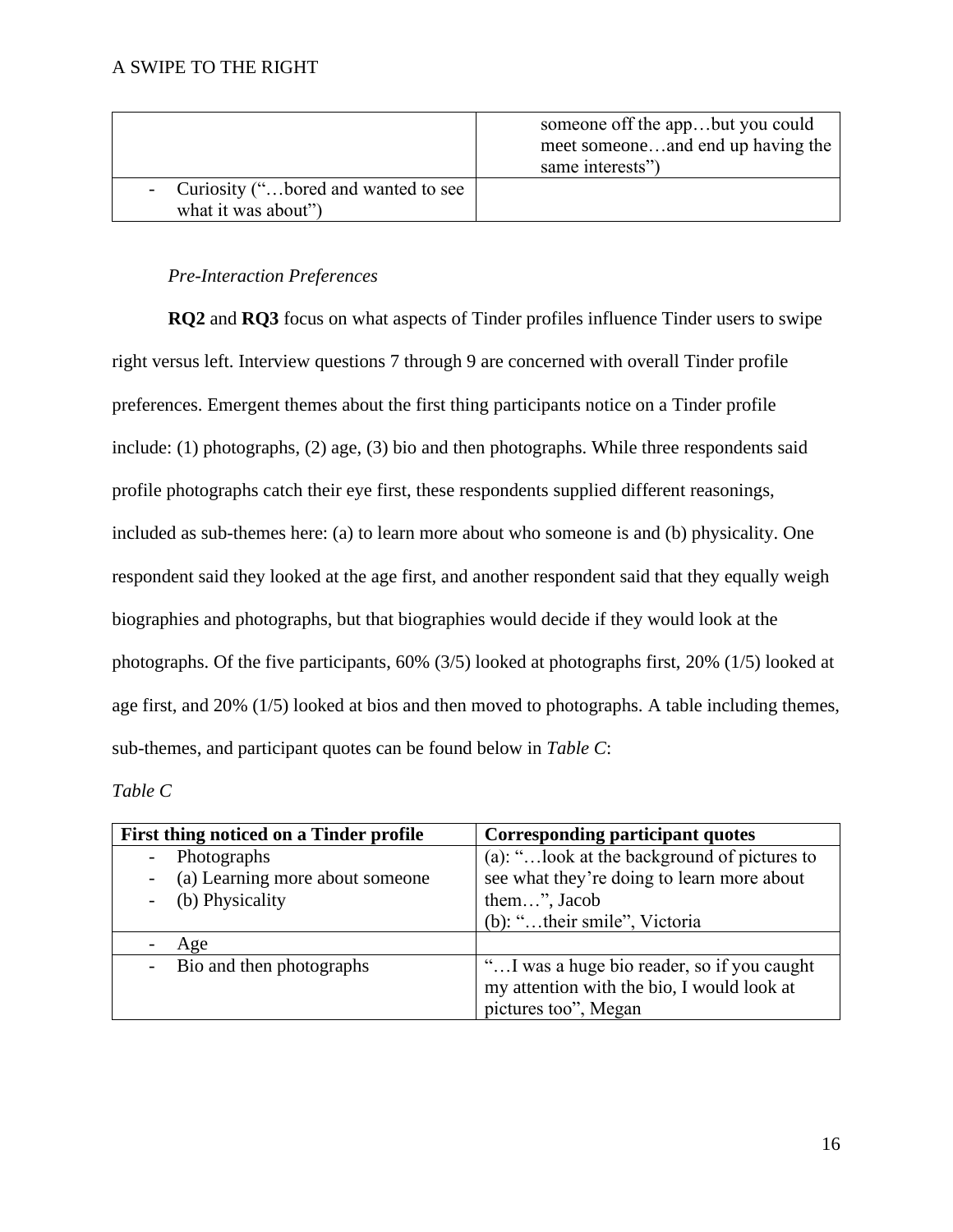|                                                              | someone off the appbut you could<br>meet someoneand end up having the<br>same interests") |
|--------------------------------------------------------------|-------------------------------------------------------------------------------------------|
| - Curiosity ("bored and wanted to see<br>what it was about") |                                                                                           |

# *Pre-Interaction Preferences*

**RQ2** and **RQ3** focus on what aspects of Tinder profiles influence Tinder users to swipe right versus left. Interview questions 7 through 9 are concerned with overall Tinder profile preferences. Emergent themes about the first thing participants notice on a Tinder profile include: (1) photographs, (2) age, (3) bio and then photographs. While three respondents said profile photographs catch their eye first, these respondents supplied different reasonings, included as sub-themes here: (a) to learn more about who someone is and (b) physicality. One respondent said they looked at the age first, and another respondent said that they equally weigh biographies and photographs, but that biographies would decide if they would look at the photographs. Of the five participants, 60% (3/5) looked at photographs first, 20% (1/5) looked at age first, and 20% (1/5) looked at bios and then moved to photographs. A table including themes, sub-themes, and participant quotes can be found below in *Table C*:

# *Table C*

| First thing noticed on a Tinder profile | Corresponding participant quotes                                                                                 |
|-----------------------------------------|------------------------------------------------------------------------------------------------------------------|
| Photographs                             | (a): "look at the background of pictures to                                                                      |
| (a) Learning more about someone         | see what they're doing to learn more about                                                                       |
| (b) Physicality                         | them", Jacob                                                                                                     |
|                                         | (b): "their smile", Victoria                                                                                     |
| Age                                     |                                                                                                                  |
| Bio and then photographs                | "I was a huge bio reader, so if you caught<br>my attention with the bio, I would look at<br>pictures too", Megan |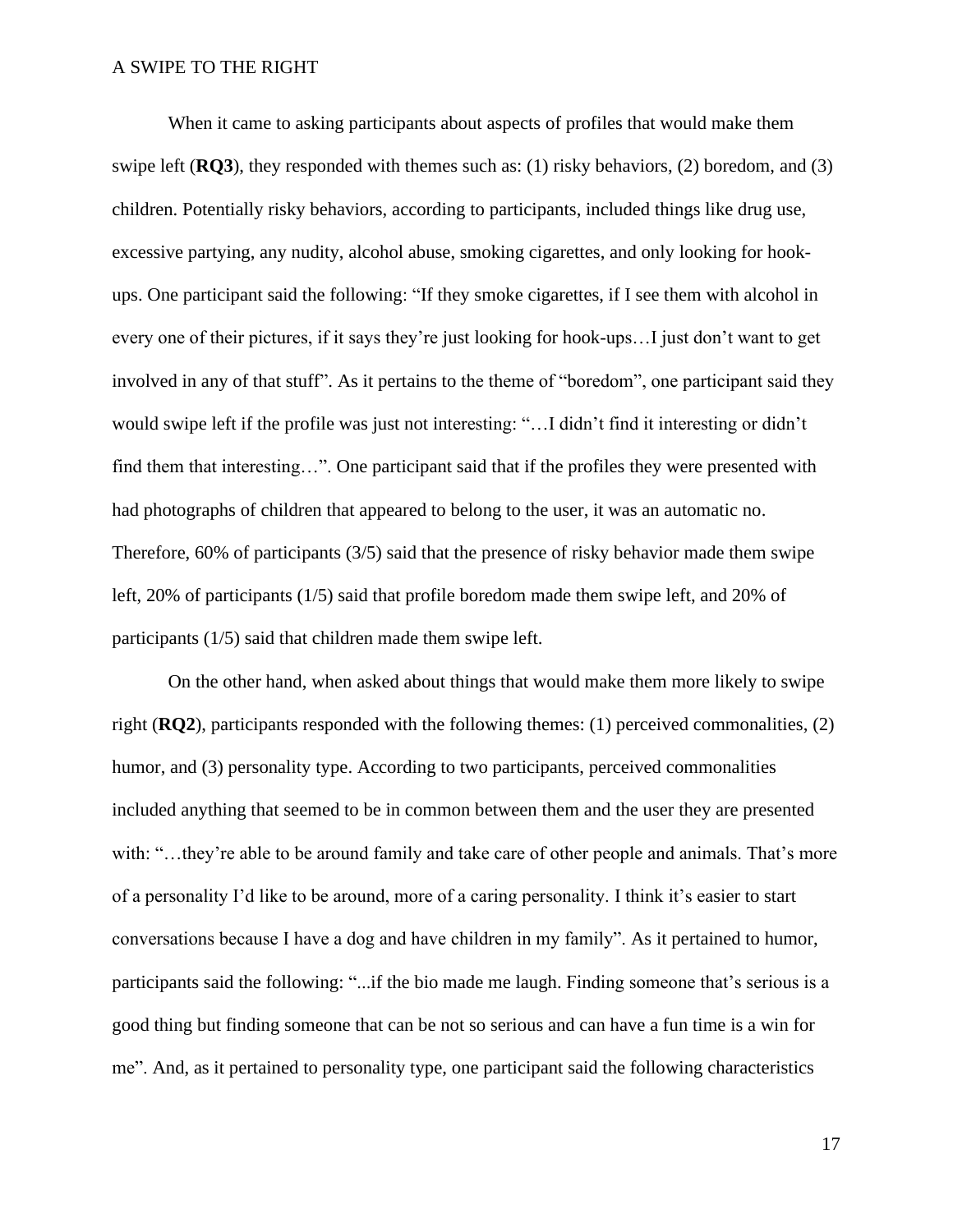When it came to asking participants about aspects of profiles that would make them swipe left (**RQ3**), they responded with themes such as: (1) risky behaviors, (2) boredom, and (3) children. Potentially risky behaviors, according to participants, included things like drug use, excessive partying, any nudity, alcohol abuse, smoking cigarettes, and only looking for hookups. One participant said the following: "If they smoke cigarettes, if I see them with alcohol in every one of their pictures, if it says they're just looking for hook-ups…I just don't want to get involved in any of that stuff". As it pertains to the theme of "boredom", one participant said they would swipe left if the profile was just not interesting: "…I didn't find it interesting or didn't find them that interesting…". One participant said that if the profiles they were presented with had photographs of children that appeared to belong to the user, it was an automatic no. Therefore, 60% of participants (3/5) said that the presence of risky behavior made them swipe left, 20% of participants (1/5) said that profile boredom made them swipe left, and 20% of participants (1/5) said that children made them swipe left.

On the other hand, when asked about things that would make them more likely to swipe right (**RQ2**), participants responded with the following themes: (1) perceived commonalities, (2) humor, and (3) personality type. According to two participants, perceived commonalities included anything that seemed to be in common between them and the user they are presented with: "...they're able to be around family and take care of other people and animals. That's more of a personality I'd like to be around, more of a caring personality. I think it's easier to start conversations because I have a dog and have children in my family". As it pertained to humor, participants said the following: "...if the bio made me laugh. Finding someone that's serious is a good thing but finding someone that can be not so serious and can have a fun time is a win for me". And, as it pertained to personality type, one participant said the following characteristics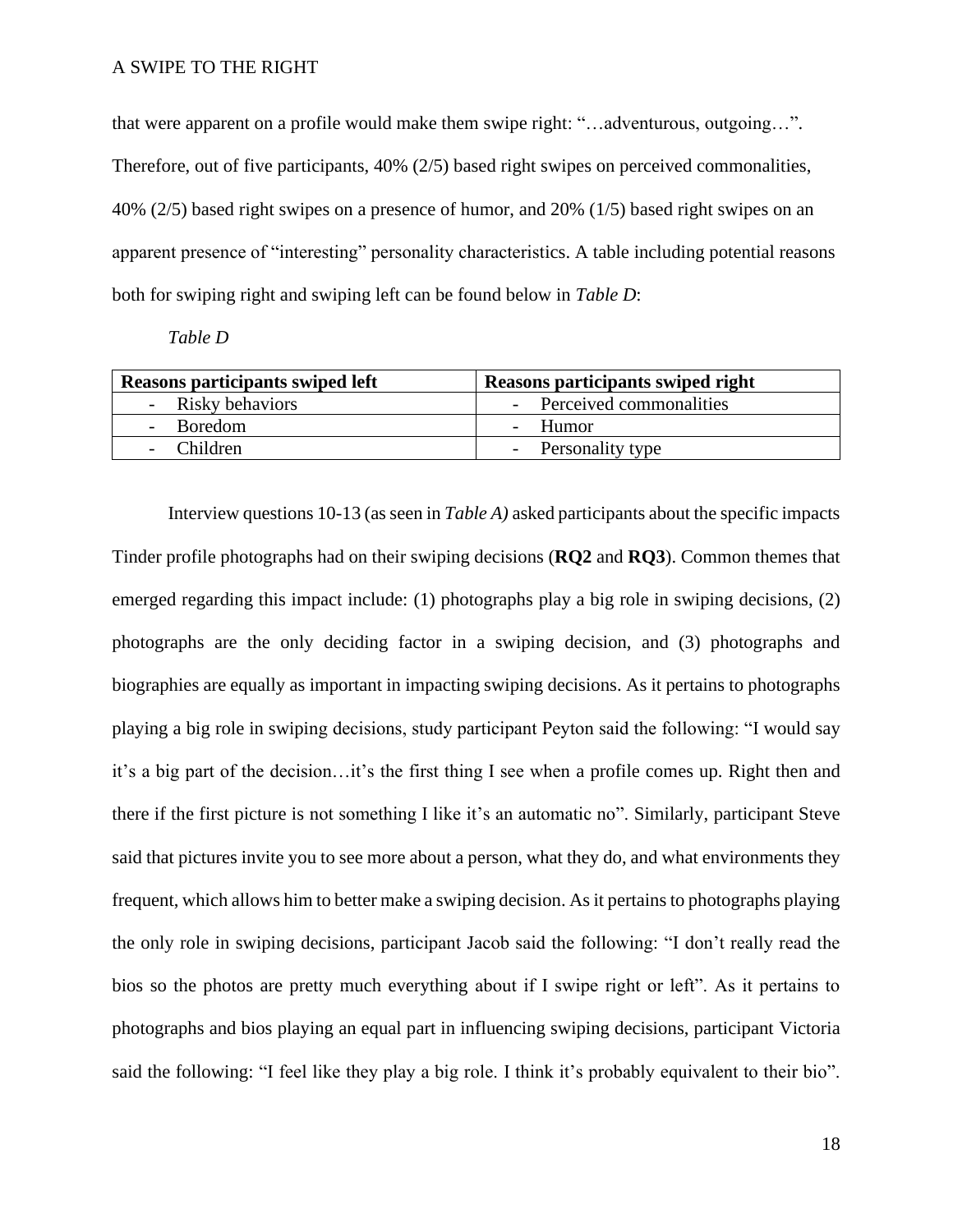that were apparent on a profile would make them swipe right: "…adventurous, outgoing…". Therefore, out of five participants, 40% (2/5) based right swipes on perceived commonalities, 40% (2/5) based right swipes on a presence of humor, and 20% (1/5) based right swipes on an apparent presence of "interesting" personality characteristics. A table including potential reasons both for swiping right and swiping left can be found below in *Table D*:

*Table D*

| Reasons participants swiped left | Reasons participants swiped right |
|----------------------------------|-----------------------------------|
| - Risky behaviors                | - Perceived commonalities         |
| Boredom                          | - Humor                           |
| - Children                       | - Personality type                |

Interview questions 10-13 (as seen in *Table A)* asked participants about the specific impacts Tinder profile photographs had on their swiping decisions (**RQ2** and **RQ3**). Common themes that emerged regarding this impact include: (1) photographs play a big role in swiping decisions, (2) photographs are the only deciding factor in a swiping decision, and (3) photographs and biographies are equally as important in impacting swiping decisions. As it pertains to photographs playing a big role in swiping decisions, study participant Peyton said the following: "I would say it's a big part of the decision…it's the first thing I see when a profile comes up. Right then and there if the first picture is not something I like it's an automatic no". Similarly, participant Steve said that pictures invite you to see more about a person, what they do, and what environments they frequent, which allows him to better make a swiping decision. As it pertains to photographs playing the only role in swiping decisions, participant Jacob said the following: "I don't really read the bios so the photos are pretty much everything about if I swipe right or left". As it pertains to photographs and bios playing an equal part in influencing swiping decisions, participant Victoria said the following: "I feel like they play a big role. I think it's probably equivalent to their bio".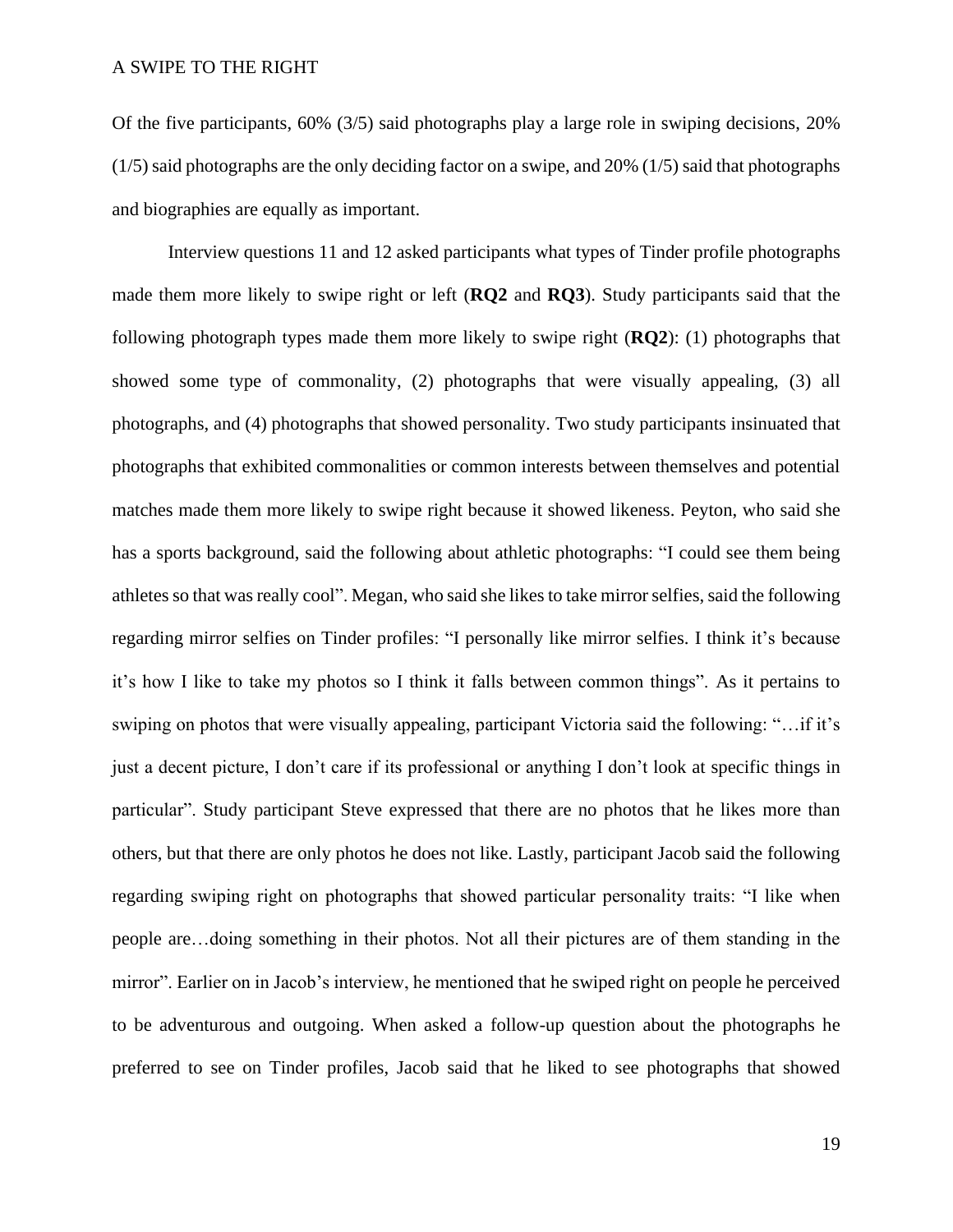Of the five participants, 60% (3/5) said photographs play a large role in swiping decisions, 20% (1/5) said photographs are the only deciding factor on a swipe, and 20% (1/5) said that photographs and biographies are equally as important.

Interview questions 11 and 12 asked participants what types of Tinder profile photographs made them more likely to swipe right or left (**RQ2** and **RQ3**). Study participants said that the following photograph types made them more likely to swipe right (**RQ2**): (1) photographs that showed some type of commonality, (2) photographs that were visually appealing, (3) all photographs, and (4) photographs that showed personality. Two study participants insinuated that photographs that exhibited commonalities or common interests between themselves and potential matches made them more likely to swipe right because it showed likeness. Peyton, who said she has a sports background, said the following about athletic photographs: "I could see them being athletes so that was really cool". Megan, who said she likes to take mirror selfies, said the following regarding mirror selfies on Tinder profiles: "I personally like mirror selfies. I think it's because it's how I like to take my photos so I think it falls between common things". As it pertains to swiping on photos that were visually appealing, participant Victoria said the following: "…if it's just a decent picture, I don't care if its professional or anything I don't look at specific things in particular". Study participant Steve expressed that there are no photos that he likes more than others, but that there are only photos he does not like. Lastly, participant Jacob said the following regarding swiping right on photographs that showed particular personality traits: "I like when people are…doing something in their photos. Not all their pictures are of them standing in the mirror". Earlier on in Jacob's interview, he mentioned that he swiped right on people he perceived to be adventurous and outgoing. When asked a follow-up question about the photographs he preferred to see on Tinder profiles, Jacob said that he liked to see photographs that showed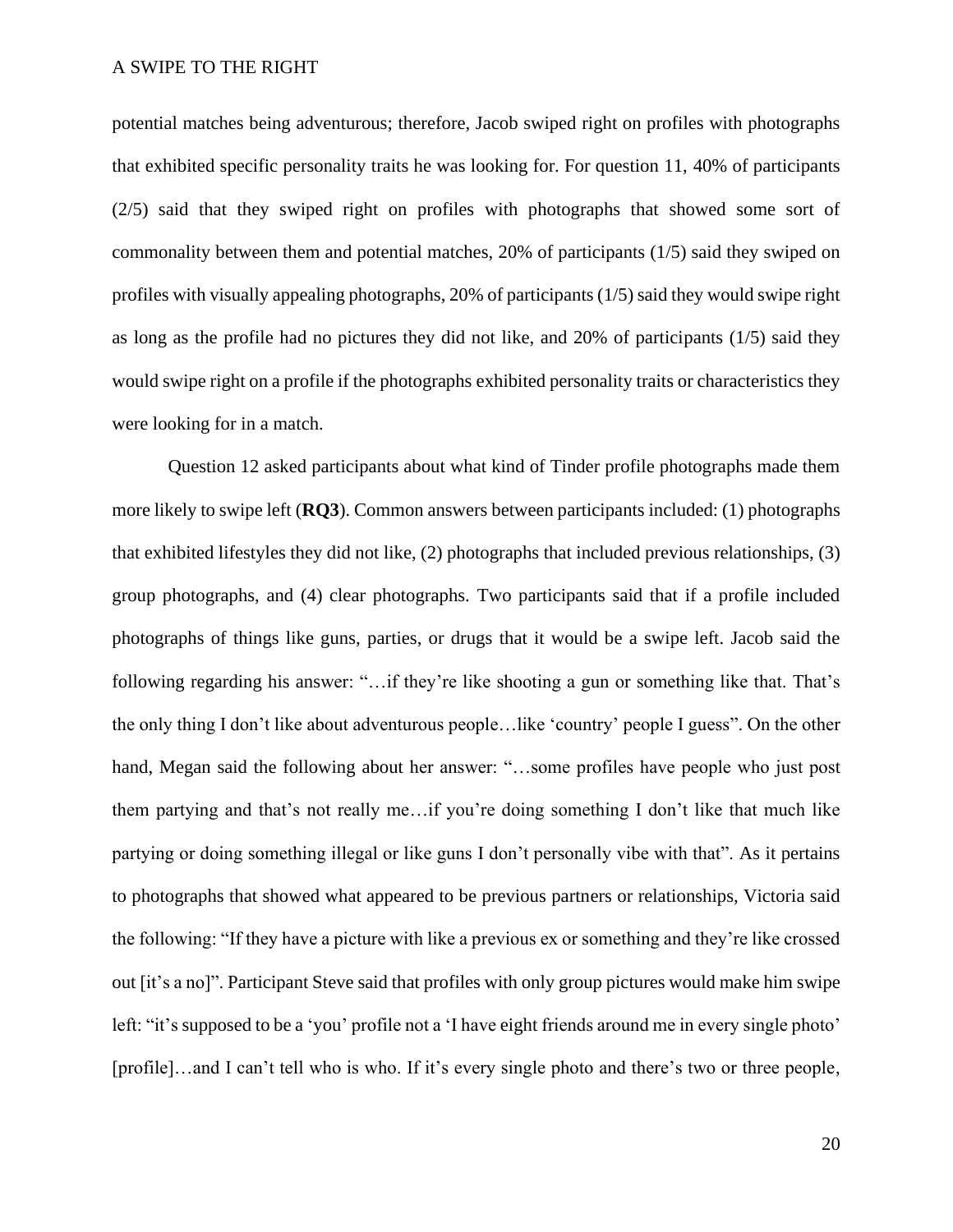potential matches being adventurous; therefore, Jacob swiped right on profiles with photographs that exhibited specific personality traits he was looking for. For question 11, 40% of participants (2/5) said that they swiped right on profiles with photographs that showed some sort of commonality between them and potential matches, 20% of participants (1/5) said they swiped on profiles with visually appealing photographs, 20% of participants (1/5) said they would swipe right as long as the profile had no pictures they did not like, and 20% of participants (1/5) said they would swipe right on a profile if the photographs exhibited personality traits or characteristics they were looking for in a match.

Question 12 asked participants about what kind of Tinder profile photographs made them more likely to swipe left (**RQ3**). Common answers between participants included: (1) photographs that exhibited lifestyles they did not like, (2) photographs that included previous relationships, (3) group photographs, and (4) clear photographs. Two participants said that if a profile included photographs of things like guns, parties, or drugs that it would be a swipe left. Jacob said the following regarding his answer: "…if they're like shooting a gun or something like that. That's the only thing I don't like about adventurous people…like 'country' people I guess". On the other hand, Megan said the following about her answer: "…some profiles have people who just post them partying and that's not really me…if you're doing something I don't like that much like partying or doing something illegal or like guns I don't personally vibe with that". As it pertains to photographs that showed what appeared to be previous partners or relationships, Victoria said the following: "If they have a picture with like a previous ex or something and they're like crossed out [it's a no]". Participant Steve said that profiles with only group pictures would make him swipe left: "it's supposed to be a 'you' profile not a 'I have eight friends around me in every single photo' [profile]…and I can't tell who is who. If it's every single photo and there's two or three people,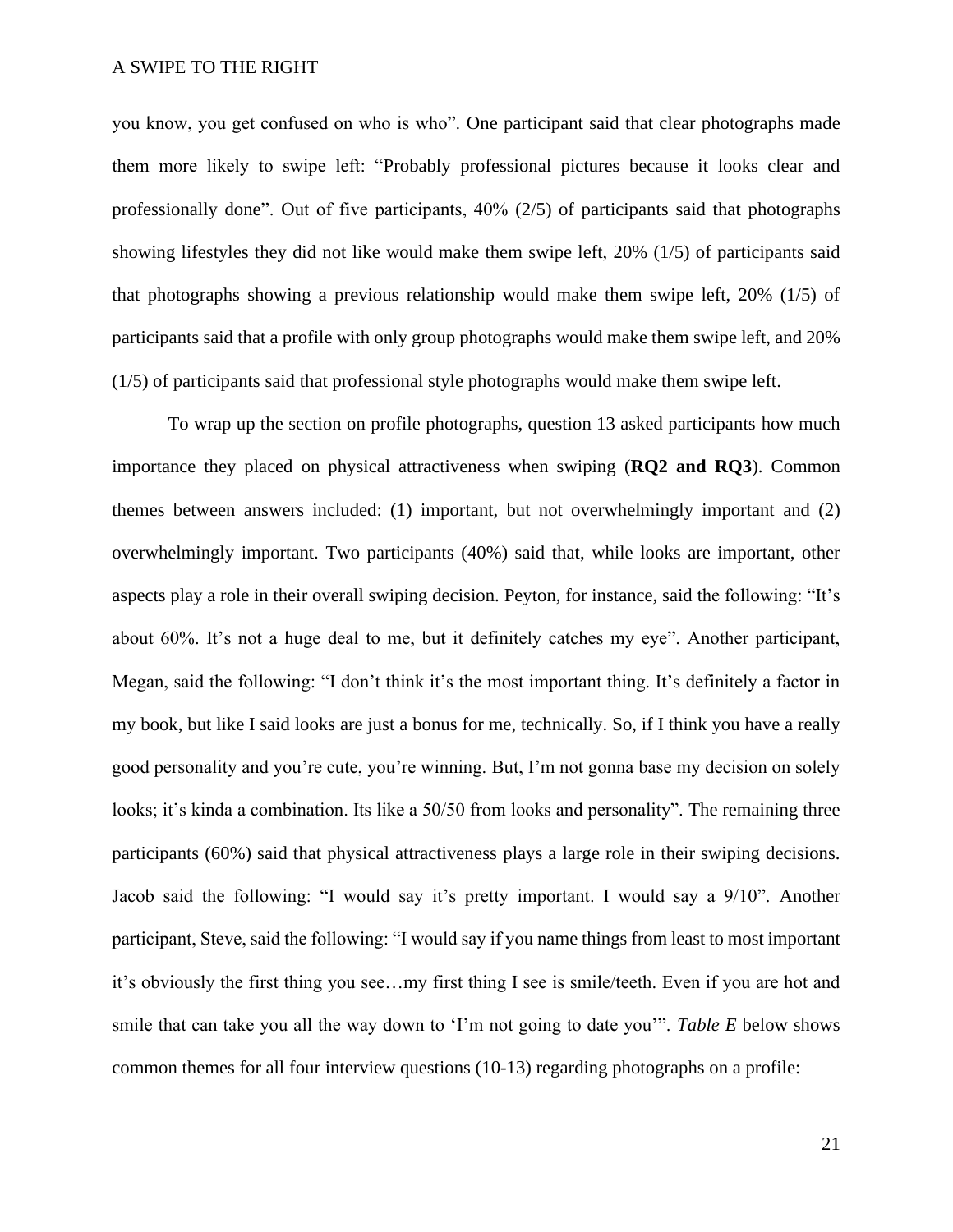you know, you get confused on who is who". One participant said that clear photographs made them more likely to swipe left: "Probably professional pictures because it looks clear and professionally done". Out of five participants,  $40\%$  ( $2/5$ ) of participants said that photographs showing lifestyles they did not like would make them swipe left, 20% (1/5) of participants said that photographs showing a previous relationship would make them swipe left, 20% (1/5) of participants said that a profile with only group photographs would make them swipe left, and 20% (1/5) of participants said that professional style photographs would make them swipe left.

To wrap up the section on profile photographs, question 13 asked participants how much importance they placed on physical attractiveness when swiping (**RQ2 and RQ3**). Common themes between answers included: (1) important, but not overwhelmingly important and (2) overwhelmingly important. Two participants (40%) said that, while looks are important, other aspects play a role in their overall swiping decision. Peyton, for instance, said the following: "It's about 60%. It's not a huge deal to me, but it definitely catches my eye". Another participant, Megan, said the following: "I don't think it's the most important thing. It's definitely a factor in my book, but like I said looks are just a bonus for me, technically. So, if I think you have a really good personality and you're cute, you're winning. But, I'm not gonna base my decision on solely looks; it's kinda a combination. Its like a 50/50 from looks and personality". The remaining three participants (60%) said that physical attractiveness plays a large role in their swiping decisions. Jacob said the following: "I would say it's pretty important. I would say a 9/10". Another participant, Steve, said the following: "I would say if you name things from least to most important it's obviously the first thing you see…my first thing I see is smile/teeth. Even if you are hot and smile that can take you all the way down to 'I'm not going to date you'". *Table E* below shows common themes for all four interview questions (10-13) regarding photographs on a profile: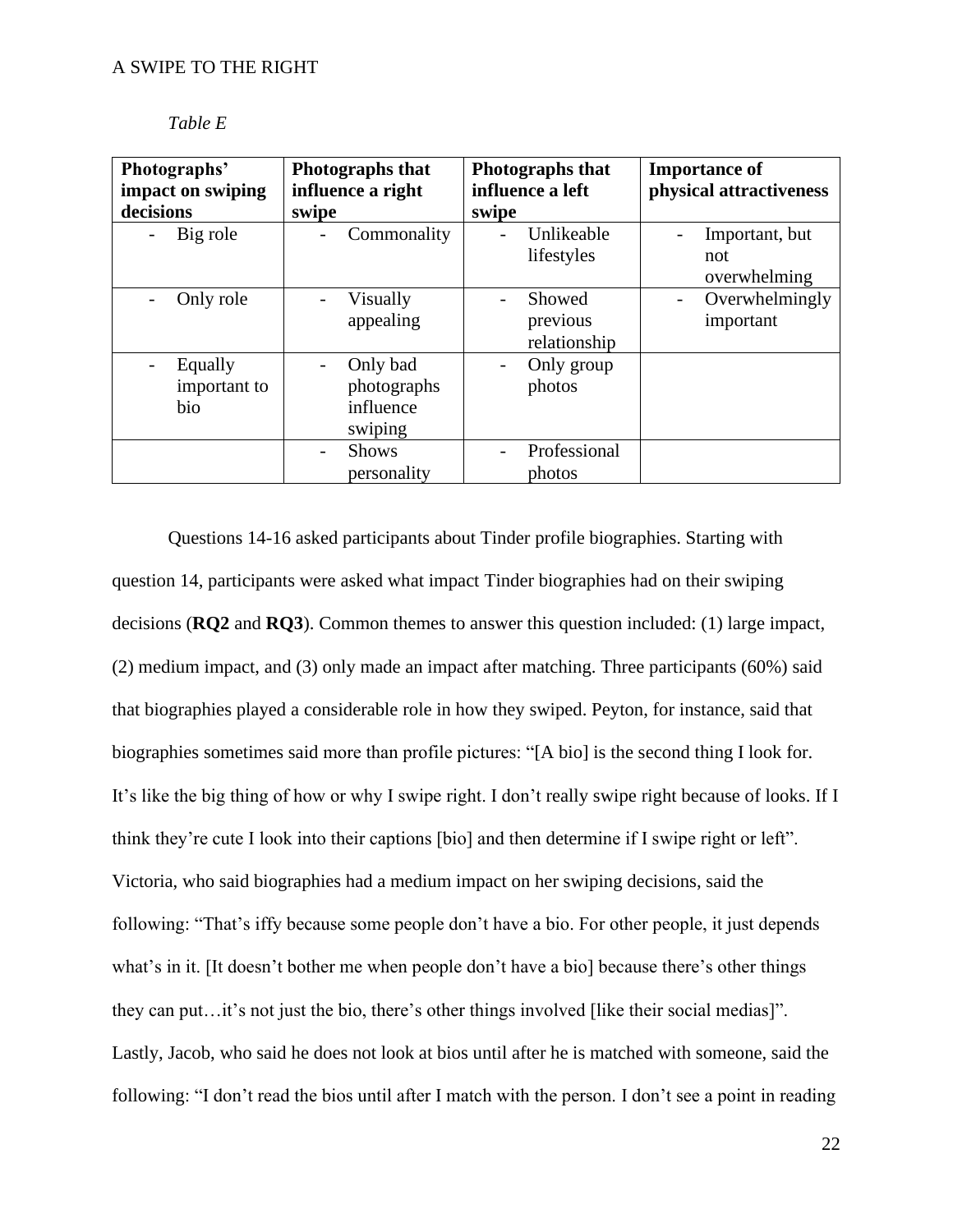| Photographs'<br>impact on swiping | Photographs that<br>influence a right           | Photographs that<br>influence a left | <b>Importance of</b><br>physical attractiveness |
|-----------------------------------|-------------------------------------------------|--------------------------------------|-------------------------------------------------|
| decisions                         | swipe                                           | swipe                                |                                                 |
| Big role                          | Commonality<br>$\overline{\phantom{a}}$         | Unlikeable<br>lifestyles             | Important, but<br>not<br>overwhelming           |
| Only role                         | Visually<br>appealing                           | Showed<br>previous<br>relationship   | Overwhelmingly<br>important                     |
| Equally<br>important to<br>bio    | Only bad<br>photographs<br>influence<br>swiping | Only group<br>photos                 |                                                 |
|                                   | <b>Shows</b><br>personality                     | Professional<br>photos               |                                                 |

*Table E*

Questions 14-16 asked participants about Tinder profile biographies. Starting with question 14, participants were asked what impact Tinder biographies had on their swiping decisions (**RQ2** and **RQ3**). Common themes to answer this question included: (1) large impact, (2) medium impact, and (3) only made an impact after matching. Three participants (60%) said that biographies played a considerable role in how they swiped. Peyton, for instance, said that biographies sometimes said more than profile pictures: "[A bio] is the second thing I look for. It's like the big thing of how or why I swipe right. I don't really swipe right because of looks. If I think they're cute I look into their captions [bio] and then determine if I swipe right or left". Victoria, who said biographies had a medium impact on her swiping decisions, said the following: "That's iffy because some people don't have a bio. For other people, it just depends what's in it. [It doesn't bother me when people don't have a bio] because there's other things they can put…it's not just the bio, there's other things involved [like their social medias]". Lastly, Jacob, who said he does not look at bios until after he is matched with someone, said the following: "I don't read the bios until after I match with the person. I don't see a point in reading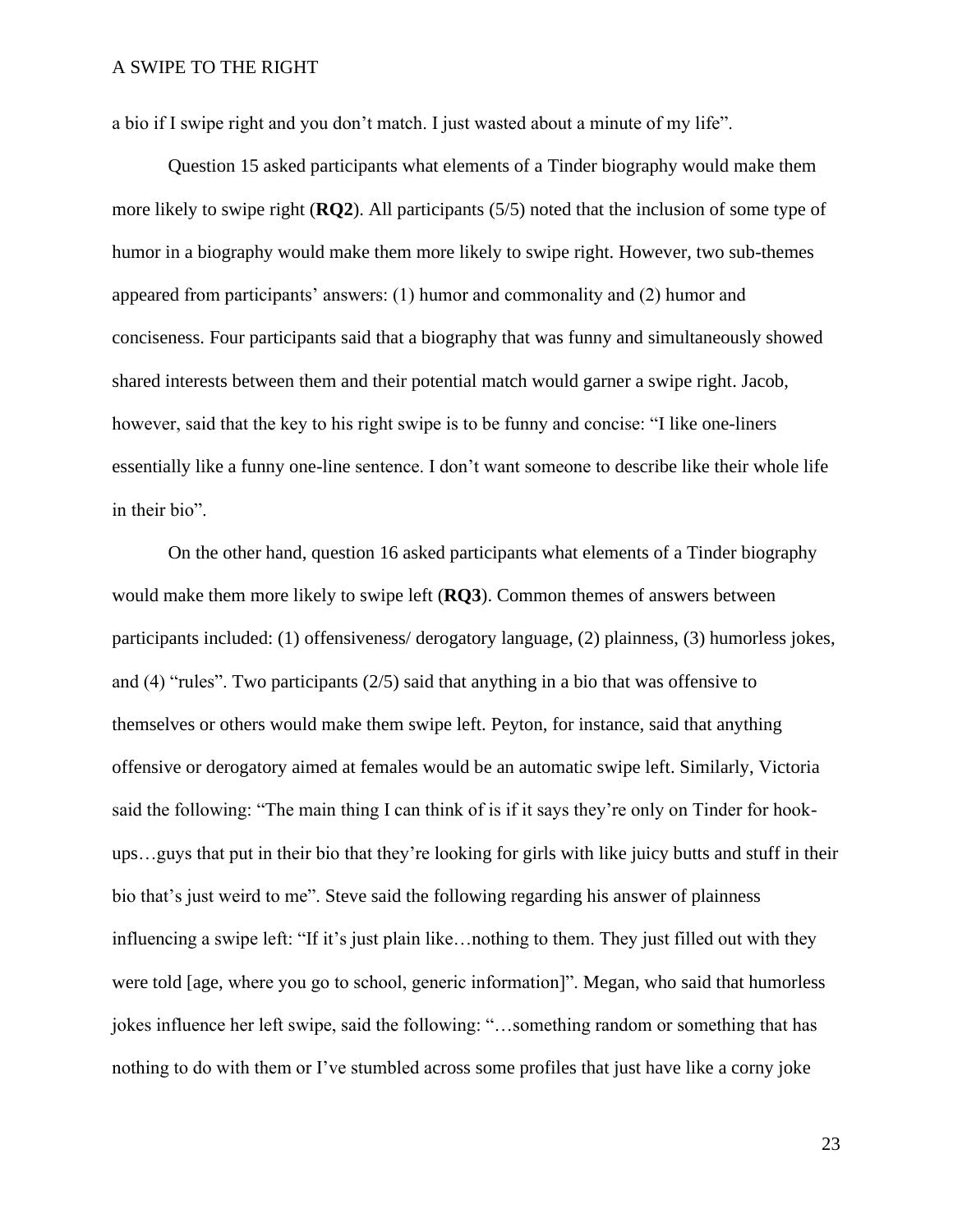a bio if I swipe right and you don't match. I just wasted about a minute of my life".

Question 15 asked participants what elements of a Tinder biography would make them more likely to swipe right (**RQ2**). All participants (5/5) noted that the inclusion of some type of humor in a biography would make them more likely to swipe right. However, two sub-themes appeared from participants' answers: (1) humor and commonality and (2) humor and conciseness. Four participants said that a biography that was funny and simultaneously showed shared interests between them and their potential match would garner a swipe right. Jacob, however, said that the key to his right swipe is to be funny and concise: "I like one-liners essentially like a funny one-line sentence. I don't want someone to describe like their whole life in their bio".

On the other hand, question 16 asked participants what elements of a Tinder biography would make them more likely to swipe left (**RQ3**). Common themes of answers between participants included: (1) offensiveness/ derogatory language, (2) plainness, (3) humorless jokes, and (4) "rules". Two participants (2/5) said that anything in a bio that was offensive to themselves or others would make them swipe left. Peyton, for instance, said that anything offensive or derogatory aimed at females would be an automatic swipe left. Similarly, Victoria said the following: "The main thing I can think of is if it says they're only on Tinder for hookups…guys that put in their bio that they're looking for girls with like juicy butts and stuff in their bio that's just weird to me". Steve said the following regarding his answer of plainness influencing a swipe left: "If it's just plain like…nothing to them. They just filled out with they were told [age, where you go to school, generic information]". Megan, who said that humorless jokes influence her left swipe, said the following: "…something random or something that has nothing to do with them or I've stumbled across some profiles that just have like a corny joke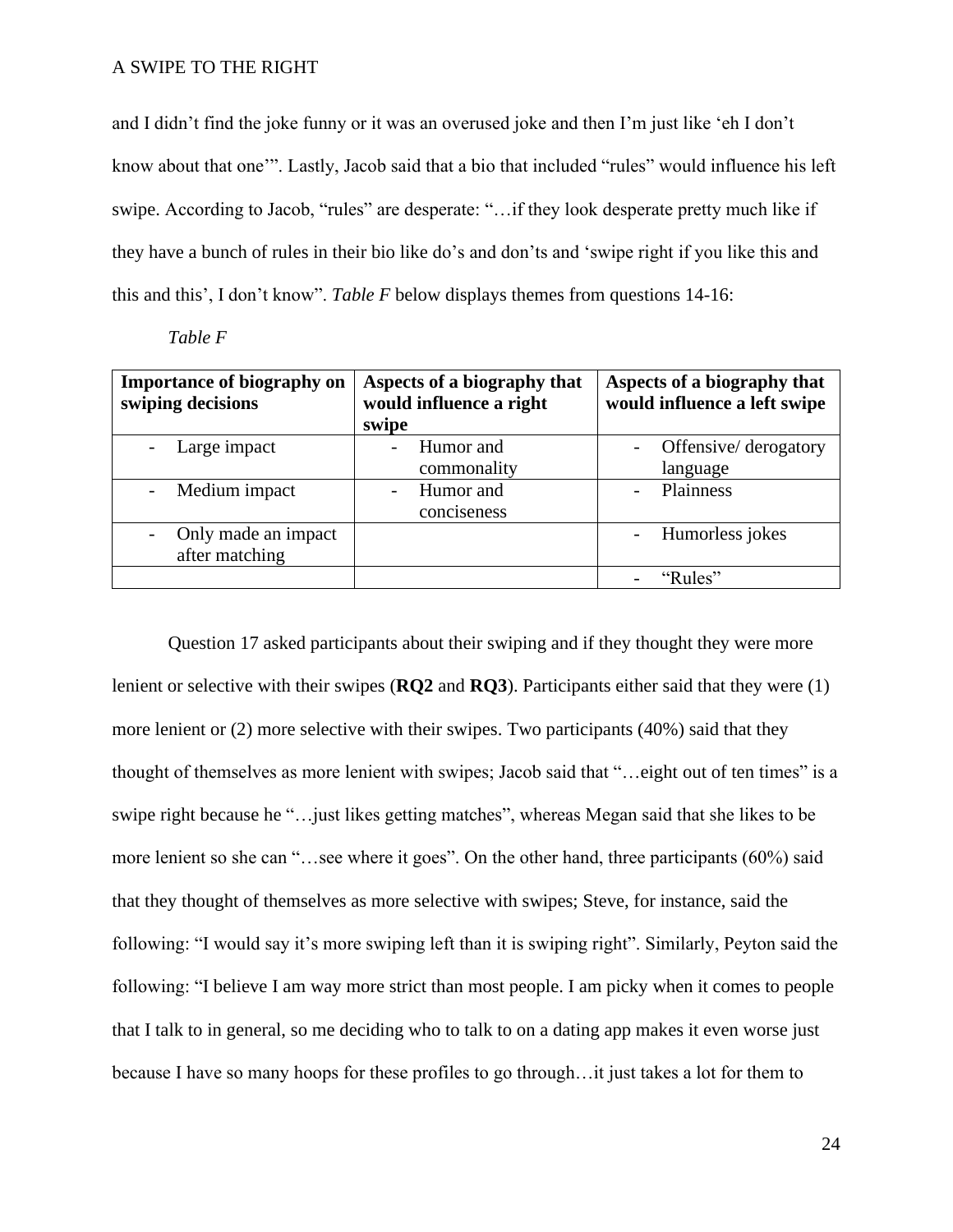and I didn't find the joke funny or it was an overused joke and then I'm just like 'eh I don't know about that one'". Lastly, Jacob said that a bio that included "rules" would influence his left swipe. According to Jacob, "rules" are desperate: "…if they look desperate pretty much like if they have a bunch of rules in their bio like do's and don'ts and 'swipe right if you like this and this and this', I don't know". *Table F* below displays themes from questions 14-16:

| ani |  |
|-----|--|
|-----|--|

| <b>Importance of biography on</b><br>swiping decisions | Aspects of a biography that<br>would influence a right<br>swipe | Aspects of a biography that<br>would influence a left swipe |
|--------------------------------------------------------|-----------------------------------------------------------------|-------------------------------------------------------------|
| Large impact                                           | Humor and                                                       | Offensive/derogatory                                        |
|                                                        | commonality                                                     | language                                                    |
| Medium impact                                          | Humor and                                                       | Plainness                                                   |
|                                                        | conciseness                                                     |                                                             |
| Only made an impact                                    |                                                                 | Humorless jokes                                             |
| after matching                                         |                                                                 |                                                             |
|                                                        |                                                                 | " $Rules"$                                                  |

Question 17 asked participants about their swiping and if they thought they were more lenient or selective with their swipes (**RQ2** and **RQ3**). Participants either said that they were (1) more lenient or (2) more selective with their swipes. Two participants (40%) said that they thought of themselves as more lenient with swipes; Jacob said that "…eight out of ten times" is a swipe right because he "…just likes getting matches", whereas Megan said that she likes to be more lenient so she can "…see where it goes". On the other hand, three participants (60%) said that they thought of themselves as more selective with swipes; Steve, for instance, said the following: "I would say it's more swiping left than it is swiping right". Similarly, Peyton said the following: "I believe I am way more strict than most people. I am picky when it comes to people that I talk to in general, so me deciding who to talk to on a dating app makes it even worse just because I have so many hoops for these profiles to go through…it just takes a lot for them to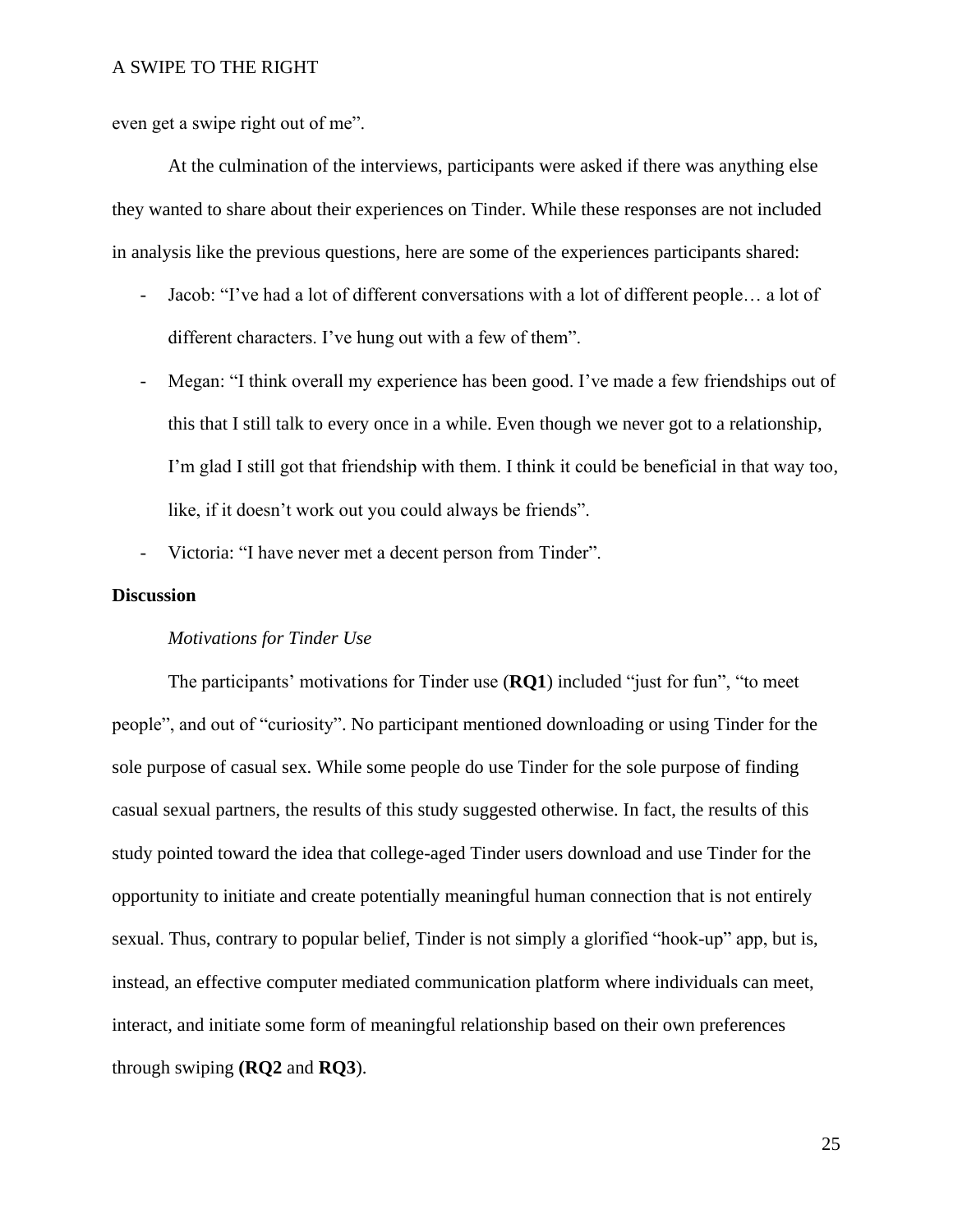even get a swipe right out of me".

At the culmination of the interviews, participants were asked if there was anything else they wanted to share about their experiences on Tinder. While these responses are not included in analysis like the previous questions, here are some of the experiences participants shared:

- Jacob: "I've had a lot of different conversations with a lot of different people… a lot of different characters. I've hung out with a few of them".
- Megan: "I think overall my experience has been good. I've made a few friendships out of this that I still talk to every once in a while. Even though we never got to a relationship, I'm glad I still got that friendship with them. I think it could be beneficial in that way too, like, if it doesn't work out you could always be friends".
- Victoria: "I have never met a decent person from Tinder".

## **Discussion**

#### *Motivations for Tinder Use*

The participants' motivations for Tinder use (**RQ1**) included "just for fun", "to meet people", and out of "curiosity". No participant mentioned downloading or using Tinder for the sole purpose of casual sex. While some people do use Tinder for the sole purpose of finding casual sexual partners, the results of this study suggested otherwise. In fact, the results of this study pointed toward the idea that college-aged Tinder users download and use Tinder for the opportunity to initiate and create potentially meaningful human connection that is not entirely sexual. Thus, contrary to popular belief, Tinder is not simply a glorified "hook-up" app, but is, instead, an effective computer mediated communication platform where individuals can meet, interact, and initiate some form of meaningful relationship based on their own preferences through swiping **(RQ2** and **RQ3**).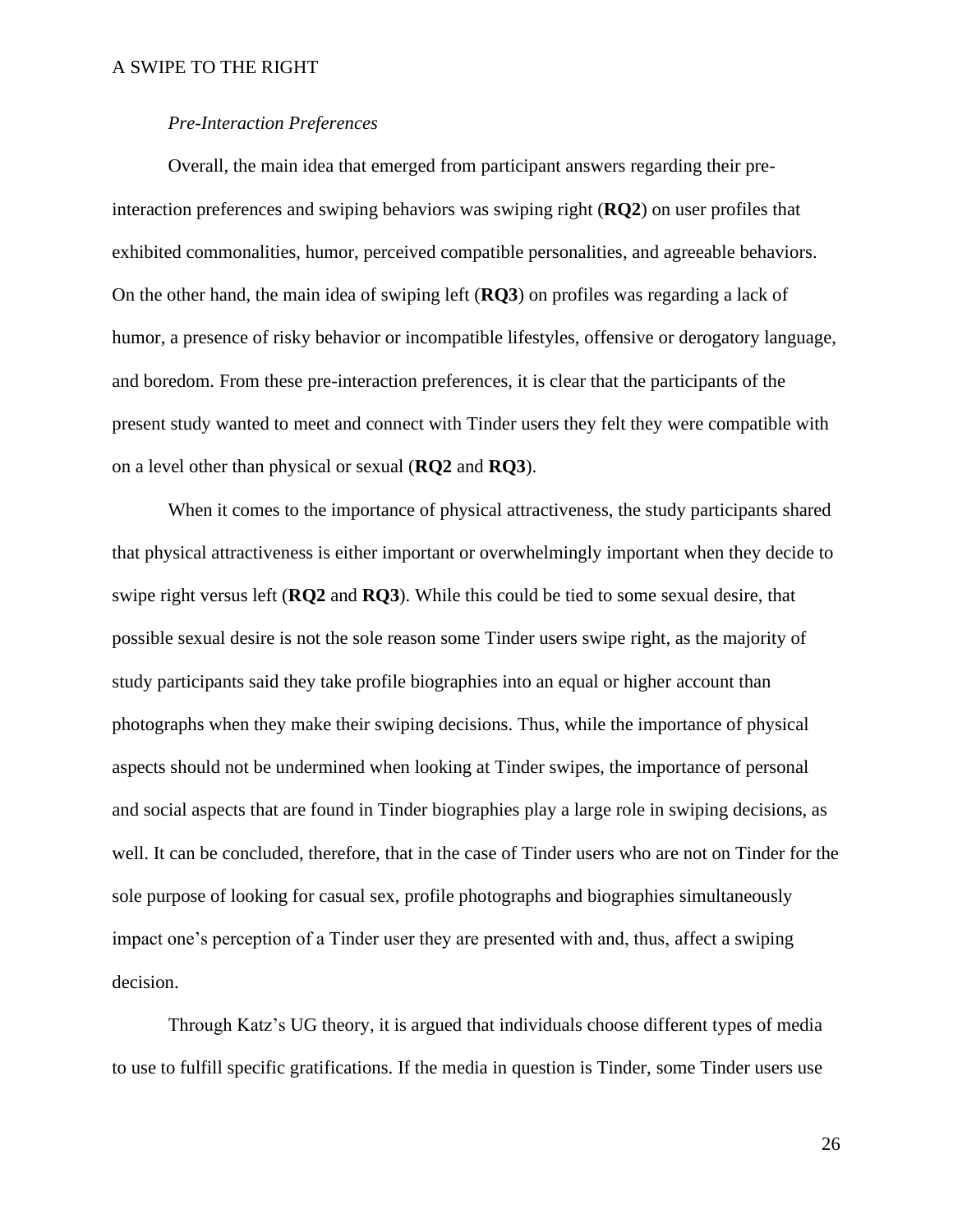# *Pre-Interaction Preferences*

Overall, the main idea that emerged from participant answers regarding their preinteraction preferences and swiping behaviors was swiping right (**RQ2**) on user profiles that exhibited commonalities, humor, perceived compatible personalities, and agreeable behaviors. On the other hand, the main idea of swiping left (**RQ3**) on profiles was regarding a lack of humor, a presence of risky behavior or incompatible lifestyles, offensive or derogatory language, and boredom. From these pre-interaction preferences, it is clear that the participants of the present study wanted to meet and connect with Tinder users they felt they were compatible with on a level other than physical or sexual (**RQ2** and **RQ3**).

When it comes to the importance of physical attractiveness, the study participants shared that physical attractiveness is either important or overwhelmingly important when they decide to swipe right versus left (**RQ2** and **RQ3**). While this could be tied to some sexual desire, that possible sexual desire is not the sole reason some Tinder users swipe right, as the majority of study participants said they take profile biographies into an equal or higher account than photographs when they make their swiping decisions. Thus, while the importance of physical aspects should not be undermined when looking at Tinder swipes, the importance of personal and social aspects that are found in Tinder biographies play a large role in swiping decisions, as well. It can be concluded, therefore, that in the case of Tinder users who are not on Tinder for the sole purpose of looking for casual sex, profile photographs and biographies simultaneously impact one's perception of a Tinder user they are presented with and, thus, affect a swiping decision.

Through Katz's UG theory, it is argued that individuals choose different types of media to use to fulfill specific gratifications. If the media in question is Tinder, some Tinder users use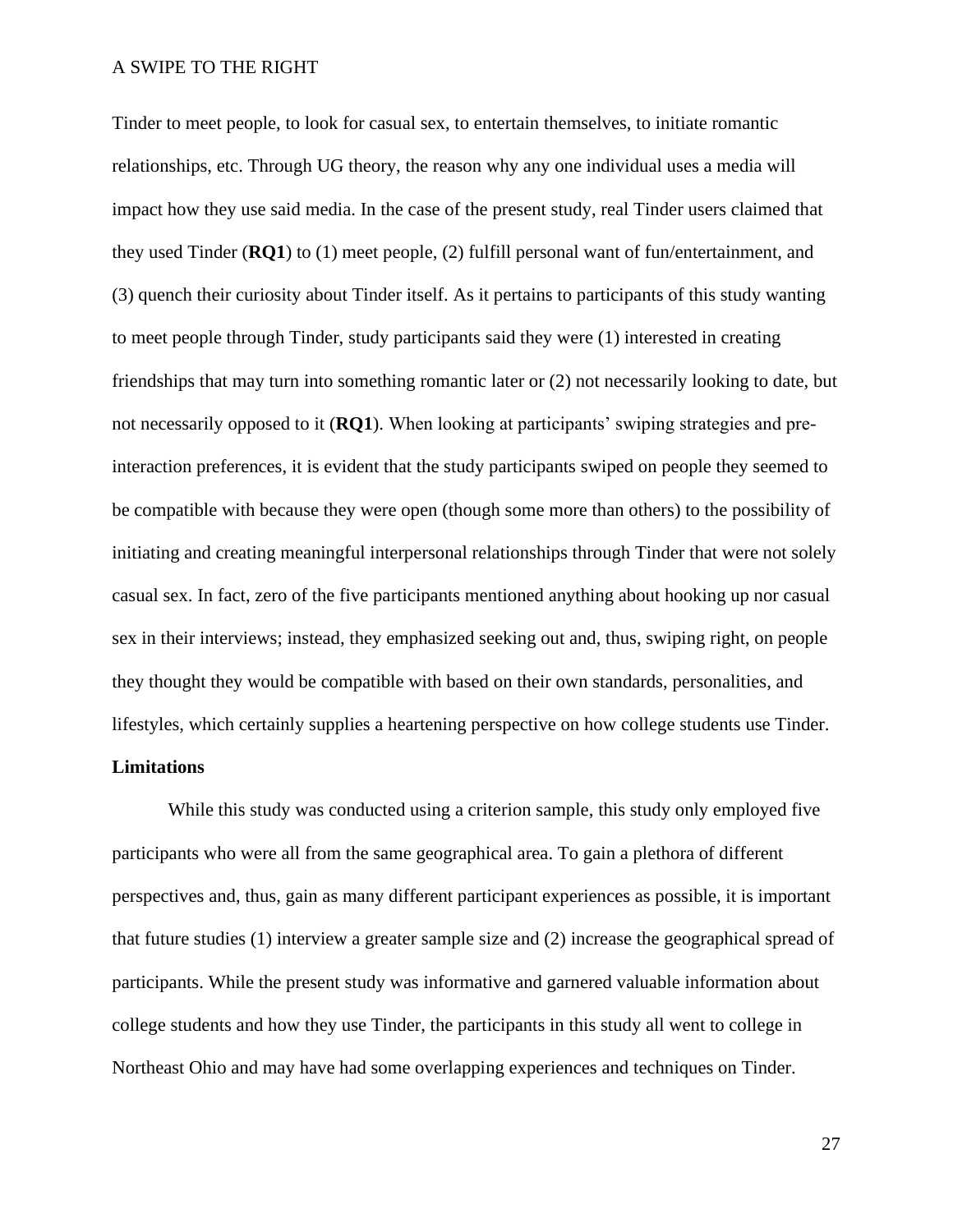Tinder to meet people, to look for casual sex, to entertain themselves, to initiate romantic relationships, etc. Through UG theory, the reason why any one individual uses a media will impact how they use said media. In the case of the present study, real Tinder users claimed that they used Tinder (**RQ1**) to (1) meet people, (2) fulfill personal want of fun/entertainment, and (3) quench their curiosity about Tinder itself. As it pertains to participants of this study wanting to meet people through Tinder, study participants said they were (1) interested in creating friendships that may turn into something romantic later or (2) not necessarily looking to date, but not necessarily opposed to it (**RQ1**). When looking at participants' swiping strategies and preinteraction preferences, it is evident that the study participants swiped on people they seemed to be compatible with because they were open (though some more than others) to the possibility of initiating and creating meaningful interpersonal relationships through Tinder that were not solely casual sex. In fact, zero of the five participants mentioned anything about hooking up nor casual sex in their interviews; instead, they emphasized seeking out and, thus, swiping right, on people they thought they would be compatible with based on their own standards, personalities, and lifestyles, which certainly supplies a heartening perspective on how college students use Tinder.

# **Limitations**

While this study was conducted using a criterion sample, this study only employed five participants who were all from the same geographical area. To gain a plethora of different perspectives and, thus, gain as many different participant experiences as possible, it is important that future studies (1) interview a greater sample size and (2) increase the geographical spread of participants. While the present study was informative and garnered valuable information about college students and how they use Tinder, the participants in this study all went to college in Northeast Ohio and may have had some overlapping experiences and techniques on Tinder.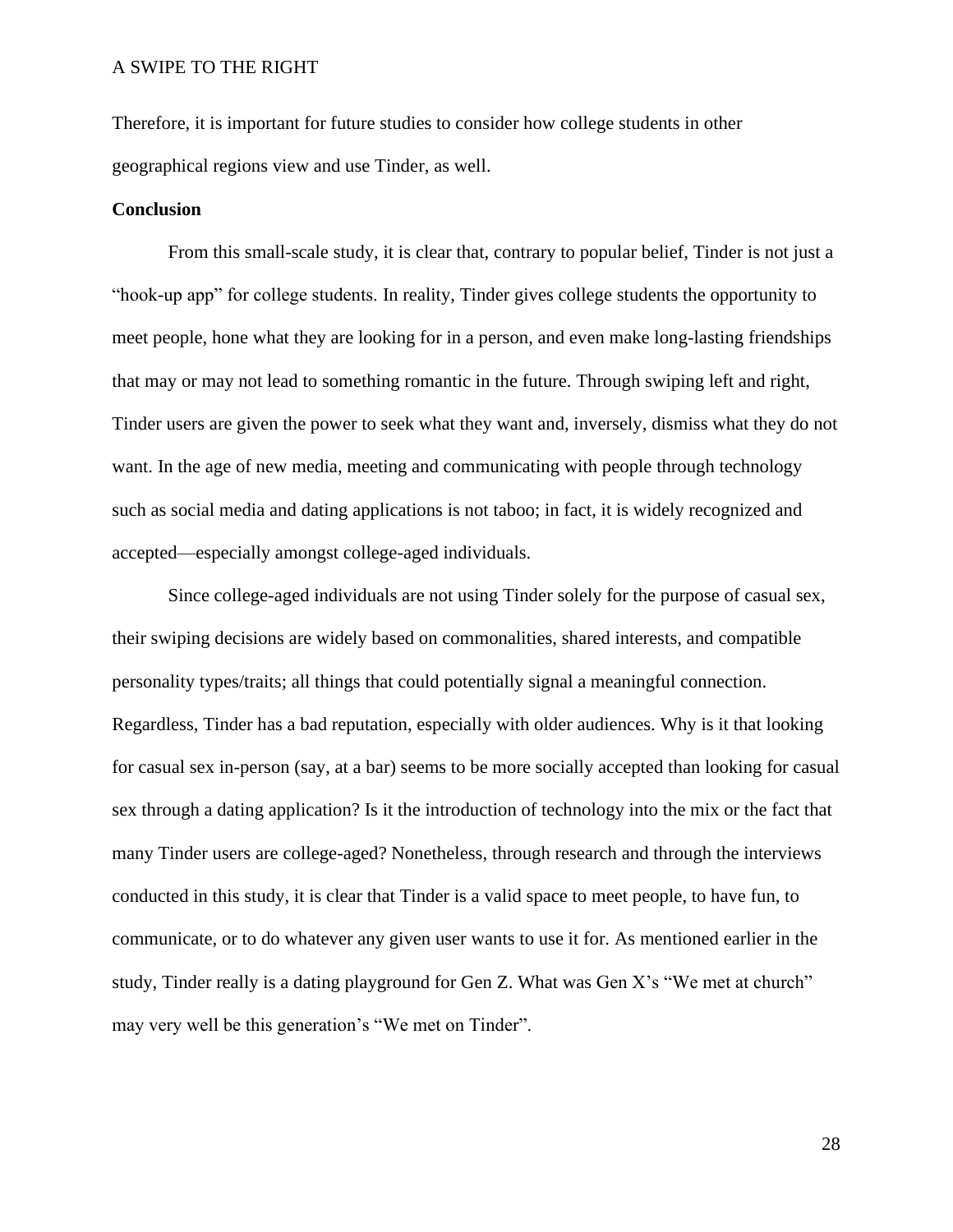Therefore, it is important for future studies to consider how college students in other geographical regions view and use Tinder, as well.

## **Conclusion**

From this small-scale study, it is clear that, contrary to popular belief, Tinder is not just a "hook-up app" for college students. In reality, Tinder gives college students the opportunity to meet people, hone what they are looking for in a person, and even make long-lasting friendships that may or may not lead to something romantic in the future. Through swiping left and right, Tinder users are given the power to seek what they want and, inversely, dismiss what they do not want. In the age of new media, meeting and communicating with people through technology such as social media and dating applications is not taboo; in fact, it is widely recognized and accepted—especially amongst college-aged individuals.

Since college-aged individuals are not using Tinder solely for the purpose of casual sex, their swiping decisions are widely based on commonalities, shared interests, and compatible personality types/traits; all things that could potentially signal a meaningful connection. Regardless, Tinder has a bad reputation, especially with older audiences. Why is it that looking for casual sex in-person (say, at a bar) seems to be more socially accepted than looking for casual sex through a dating application? Is it the introduction of technology into the mix or the fact that many Tinder users are college-aged? Nonetheless, through research and through the interviews conducted in this study, it is clear that Tinder is a valid space to meet people, to have fun, to communicate, or to do whatever any given user wants to use it for. As mentioned earlier in the study, Tinder really is a dating playground for Gen Z. What was Gen X's "We met at church" may very well be this generation's "We met on Tinder".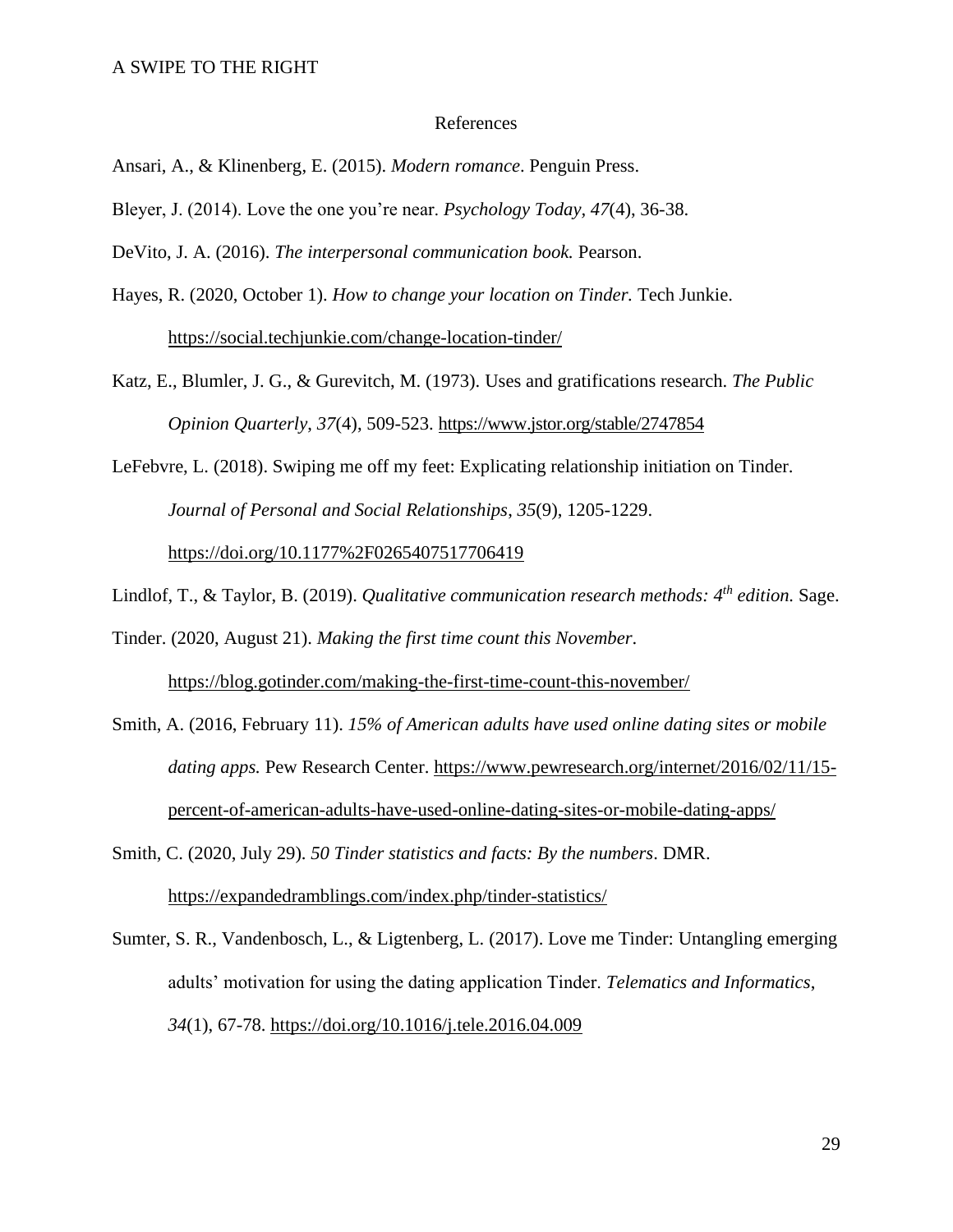#### References

Ansari, A., & Klinenberg, E. (2015). *Modern romance*. Penguin Press.

Bleyer, J. (2014). Love the one you're near. *Psychology Today, 47*(4), 36-38.

DeVito, J. A. (2016). *The interpersonal communication book.* Pearson.

Hayes, R. (2020, October 1). *How to change your location on Tinder.* Tech Junkie.

<https://social.techjunkie.com/change-location-tinder/>

Katz, E., Blumler, J. G., & Gurevitch, M. (1973). Uses and gratifications research. *The Public Opinion Quarterly*, *37*(4), 509-523. <https://www.jstor.org/stable/2747854>

LeFebvre, L. (2018). Swiping me off my feet: Explicating relationship initiation on Tinder. *Journal of Personal and Social Relationships*, *35*(9), 1205-1229. <https://doi.org/10.1177%2F0265407517706419>

Lindlof, T., & Taylor, B. (2019). *Qualitative communication research methods: 4th edition.* Sage.

Tinder. (2020, August 21). *Making the first time count this November*. <https://blog.gotinder.com/making-the-first-time-count-this-november/>

Smith, A. (2016, February 11). *15% of American adults have used online dating sites or mobile dating apps.* Pew Research Center. [https://www.pewresearch.org/internet/2016/02/11/15](https://www.pewresearch.org/internet/2016/02/11/15-percent-of-american-adults-have-used-online-dating-sites-or-mobile-dating-apps/) [percent-of-american-adults-have-used-online-dating-sites-or-mobile-dating-apps/](https://www.pewresearch.org/internet/2016/02/11/15-percent-of-american-adults-have-used-online-dating-sites-or-mobile-dating-apps/)

Smith, C. (2020, July 29). *50 Tinder statistics and facts: By the numbers*. DMR. <https://expandedramblings.com/index.php/tinder-statistics/>

Sumter, S. R., Vandenbosch, L., & Ligtenberg, L. (2017). Love me Tinder: Untangling emerging adults' motivation for using the dating application Tinder. *Telematics and Informatics*, *34*(1), 67-78. <https://doi.org/10.1016/j.tele.2016.04.009>